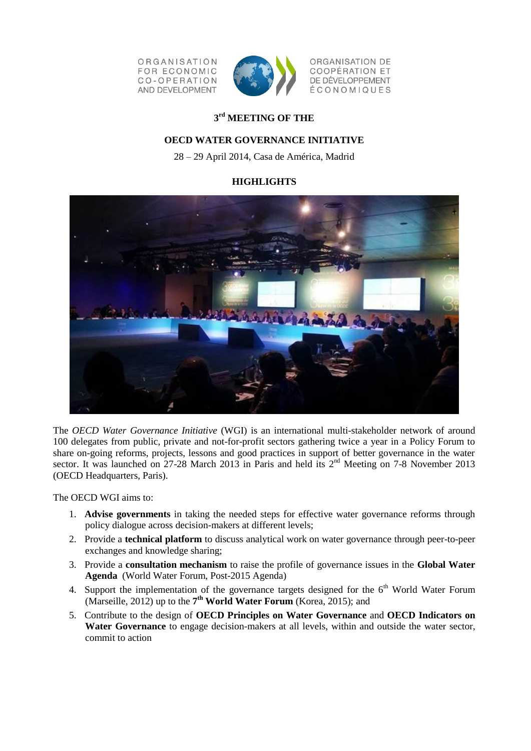ORGANISATION **FOR ECONOMIC** CO-OPERATION AND DEVELOPMENT



ORGANISATION DE COOPÉRATION ET DE DÉVELOPPEMENT ÉCONOMIQUES

# **3 rd MEETING OF THE**

# **OECD WATER GOVERNANCE INITIATIVE**

28 – 29 April 2014, Casa de América, Madrid

# **HIGHLIGHTS**



The *OECD Water Governance Initiative* (WGI) is an international multi-stakeholder network of around 100 delegates from public, private and not-for-profit sectors gathering twice a year in a Policy Forum to share on-going reforms, projects, lessons and good practices in support of better governance in the water sector. It was launched on 27-28 March 2013 in Paris and held its 2<sup>nd</sup> Meeting on 7-8 November 2013 (OECD Headquarters, Paris).

The OECD WGI aims to:

- 1. **Advise governments** in taking the needed steps for effective water governance reforms through policy dialogue across decision-makers at different levels;
- 2. Provide a **technical platform** to discuss analytical work on water governance through peer-to-peer exchanges and knowledge sharing;
- 3. Provide a **consultation mechanism** to raise the profile of governance issues in the **Global Water Agenda** (World Water Forum, Post-2015 Agenda)
- 4. Support the implementation of the governance targets designed for the  $6<sup>th</sup>$  World Water Forum (Marseille, 2012) up to the **7 th World Water Forum** (Korea, 2015); and
- 5. Contribute to the design of **OECD Principles on Water Governance** and **OECD Indicators on Water Governance** to engage decision-makers at all levels, within and outside the water sector, commit to action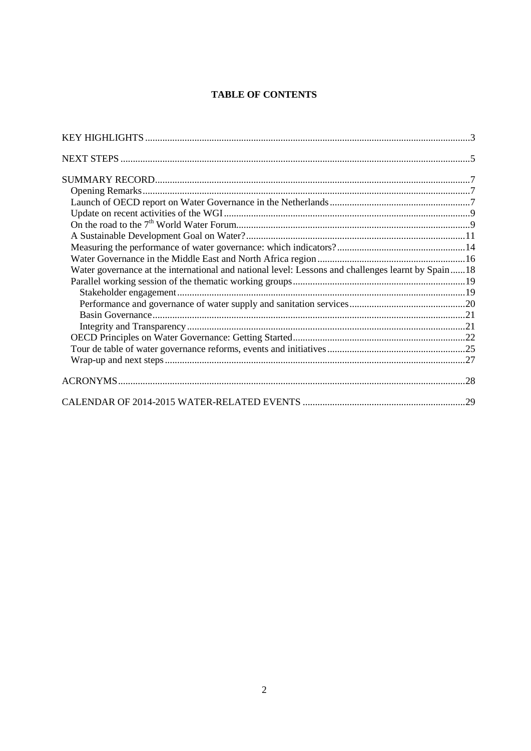# **TABLE OF CONTENTS**

| Water governance at the international and national level: Lessons and challenges learnt by Spain18 |  |
|----------------------------------------------------------------------------------------------------|--|
|                                                                                                    |  |
|                                                                                                    |  |
|                                                                                                    |  |
|                                                                                                    |  |
|                                                                                                    |  |
|                                                                                                    |  |
|                                                                                                    |  |
|                                                                                                    |  |
|                                                                                                    |  |
|                                                                                                    |  |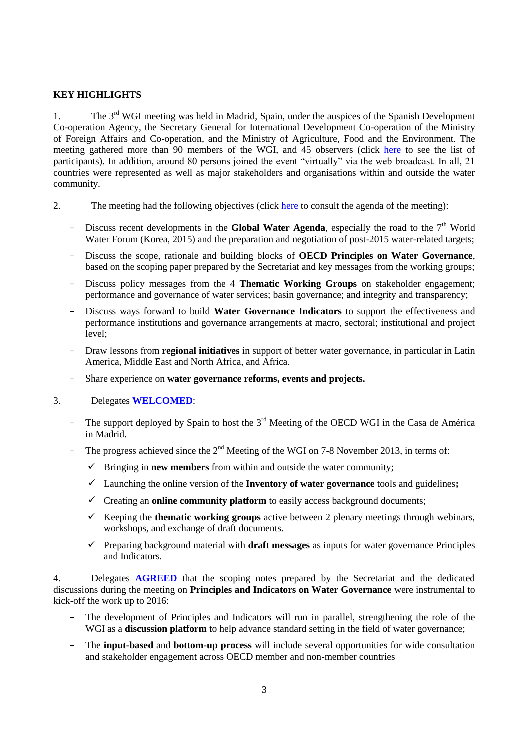## <span id="page-2-0"></span>**KEY HIGHLIGHTS**

1. The  $3<sup>rd</sup>$  WGI meeting was held in Madrid, Spain, under the auspices of the Spanish Development Co-operation Agency, the Secretary General for International Development Co-operation of the Ministry of Foreign Affairs and Co-operation, and the Ministry of Agriculture, Food and the Environment. The meeting gathered more than 90 members of the WGI, and 45 observers (click [here](http://t4-site-mgr.oecd.org/terminalfour/SiteManager?ctfn=hierarchy&fnno=10&sid=5870&cid=274525&lang=en&sslinkid=103) to see the list of participants). In addition, around 80 persons joined the event "virtually" via the web broadcast. In all, 21 countries were represented as well as major stakeholders and organisations within and outside the water community.

- 2. The meeting had the following objectives (click [here](http://t4-site-mgr.oecd.org/terminalfour/SiteManager?ctfn=hierarchy&fnno=10&sid=5870&cid=274523&lang=en&sslinkid=102) to consult the agenda of the meeting):
	- $-$  Discuss recent developments in the **Global Water Agenda**, especially the road to the  $7<sup>th</sup>$  World Water Forum (Korea, 2015) and the preparation and negotiation of post-2015 water-related targets;
	- Discuss the scope, rationale and building blocks of **OECD Principles on Water Governance**, based on the scoping paper prepared by the Secretariat and key messages from the working groups;
	- Discuss policy messages from the 4 **Thematic Working Groups** on stakeholder engagement; performance and governance of water services; basin governance; and integrity and transparency;
	- Discuss ways forward to build **Water Governance Indicators** to support the effectiveness and performance institutions and governance arrangements at macro, sectoral; institutional and project level;
	- Draw lessons from **regional initiatives** in support of better water governance, in particular in Latin America, Middle East and North Africa, and Africa.
	- Share experience on **water governance reforms, events and projects.**

## 3. Delegates **WELCOMED**:

- The support deployed by Spain to host the 3<sup>rd</sup> Meeting of the OECD WGI in the Casa de América in Madrid.
- The progress achieved since the  $2<sup>nd</sup>$  Meeting of the WGI on 7-8 November 2013, in terms of:
	- $\checkmark$  Bringing in **new members** from within and outside the water community;
	- Launching the online version of the **Inventory of water governance** tools and guidelines**;**
	- $\checkmark$  Creating an **online community platform** to easily access background documents;
	- Keeping the **thematic working groups** active between 2 plenary meetings through webinars, workshops, and exchange of draft documents.
	- $\checkmark$  Preparing background material with **draft messages** as inputs for water governance Principles and Indicators.

4. Delegates **AGREED** that the scoping notes prepared by the Secretariat and the dedicated discussions during the meeting on **Principles and Indicators on Water Governance** were instrumental to kick-off the work up to 2016:

- The development of Principles and Indicators will run in parallel, strengthening the role of the WGI as a **discussion platform** to help advance standard setting in the field of water governance;
- The **input-based** and **bottom-up process** will include several opportunities for wide consultation and stakeholder engagement across OECD member and non-member countries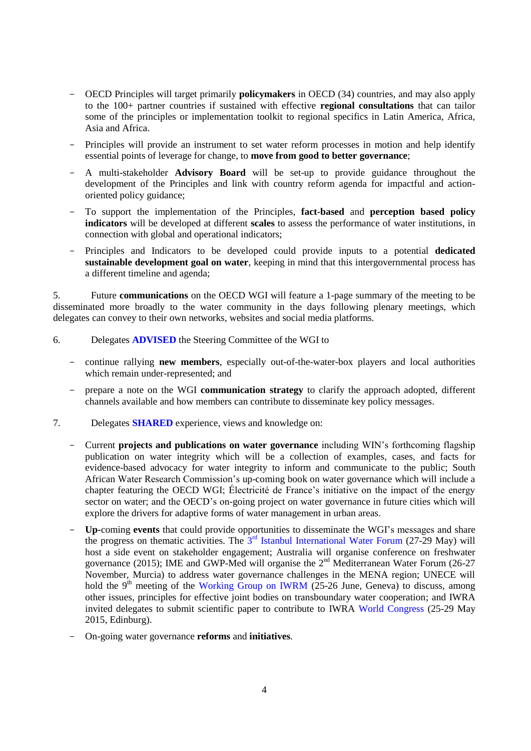- OECD Principles will target primarily **policymakers** in OECD (34) countries, and may also apply to the 100+ partner countries if sustained with effective **regional consultations** that can tailor some of the principles or implementation toolkit to regional specifics in Latin America, Africa, Asia and Africa.
- Principles will provide an instrument to set water reform processes in motion and help identify essential points of leverage for change, to **move from good to better governance**;
- A multi-stakeholder **Advisory Board** will be set-up to provide guidance throughout the development of the Principles and link with country reform agenda for impactful and actionoriented policy guidance;
- To support the implementation of the Principles, **fact-based** and **perception based policy indicators** will be developed at different **scales** to assess the performance of water institutions, in connection with global and operational indicators;
- Principles and Indicators to be developed could provide inputs to a potential **dedicated sustainable development goal on water**, keeping in mind that this intergovernmental process has a different timeline and agenda;

5. Future **communications** on the OECD WGI will feature a 1-page summary of the meeting to be disseminated more broadly to the water community in the days following plenary meetings, which delegates can convey to their own networks, websites and social media platforms.

- 6. Delegates **ADVISED** the Steering Committee of the WGI to
	- continue rallying **new members**, especially out-of-the-water-box players and local authorities which remain under-represented; and
	- prepare a note on the WGI **communication strategy** to clarify the approach adopted, different channels available and how members can contribute to disseminate key policy messages.
- 7. Delegates **SHARED** experience, views and knowledge on:
	- Current **projects and publications on water governance** including WIN's forthcoming flagship publication on water integrity which will be a collection of examples, cases, and facts for evidence-based advocacy for water integrity to inform and communicate to the public; South African Water Research Commission's up-coming book on water governance which will include a chapter featuring the OECD WGI; Électricité de France's initiative on the impact of the energy sector on water; and the OECD's on-going project on water governance in future cities which will explore the drivers for adaptive forms of water management in urban areas.
	- **Up-**coming **events** that could provide opportunities to disseminate the WGI's messages and share the progress on thematic activities. The  $3<sup>rd</sup>$  [Istanbul International Water Forum](http://suen.gov.tr/en/news/the-3rdistanbul-international-water-forum/18) (27-29 May) will host a side event on stakeholder engagement; Australia will organise conference on freshwater governance (2015); IME and GWP-Med will organise the 2nd Mediterranean Water Forum (26-27 November, Murcia) to address water governance challenges in the MENA region; UNECE will hold the 9<sup>th</sup> meeting of the [Working Group on IWRM](http://www.unece.org/env/water/meetings/documents_wgiwrm.html) (25-26 June, Geneva) to discuss, among other issues, principles for effective joint bodies on transboundary water cooperation; and IWRA invited delegates to submit scientific paper to contribute to IWRA [World Congress](http://iwra.org/index.php?page=204) (25-29 May 2015, Edinburg).
	- On-going water governance **reforms** and **initiatives**.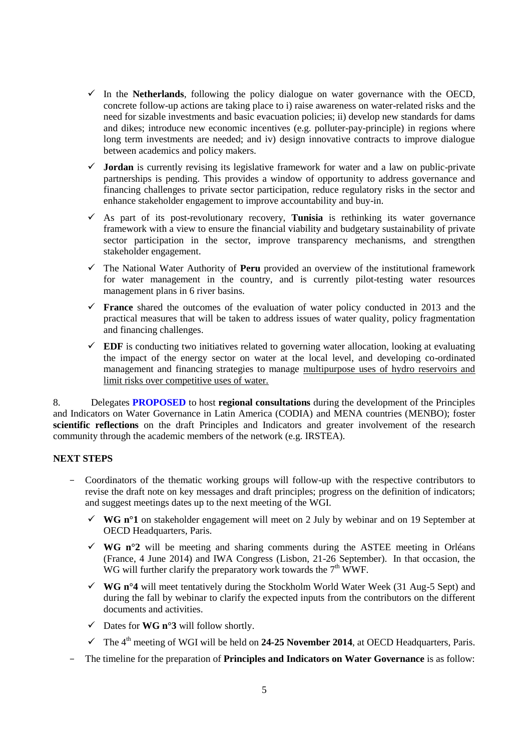- $\checkmark$  In the **Netherlands**, following the policy dialogue on water governance with the OECD, concrete follow-up actions are taking place to i) raise awareness on water-related risks and the need for sizable investments and basic evacuation policies; ii) develop new standards for dams and dikes; introduce new economic incentives (e.g. polluter-pay-principle) in regions where long term investments are needed; and iv) design innovative contracts to improve dialogue between academics and policy makers.
- $\checkmark$  **Jordan** is currently revising its legislative framework for water and a law on public-private partnerships is pending. This provides a window of opportunity to address governance and financing challenges to private sector participation, reduce regulatory risks in the sector and enhance stakeholder engagement to improve accountability and buy-in.
- $\checkmark$  As part of its post-revolutionary recovery, **Tunisia** is rethinking its water governance framework with a view to ensure the financial viability and budgetary sustainability of private sector participation in the sector, improve transparency mechanisms, and strengthen stakeholder engagement.
- The National Water Authority of **Peru** provided an overview of the institutional framework for water management in the country, and is currently pilot-testing water resources management plans in 6 river basins.
- **France** shared the outcomes of the evaluation of water policy conducted in 2013 and the practical measures that will be taken to address issues of water quality, policy fragmentation and financing challenges.
- $\checkmark$  **EDF** is conducting two initiatives related to governing water allocation, looking at evaluating the impact of the energy sector on water at the local level, and developing co-ordinated management and financing strategies to manage multipurpose uses of hydro reservoirs and limit risks over competitive uses of water.

8. Delegates **PROPOSED** to host **regional consultations** during the development of the Principles and Indicators on Water Governance in Latin America (CODIA) and MENA countries (MENBO); foster **scientific reflections** on the draft Principles and Indicators and greater involvement of the research community through the academic members of the network (e.g. IRSTEA).

## <span id="page-4-0"></span>**NEXT STEPS**

- Coordinators of the thematic working groups will follow-up with the respective contributors to revise the draft note on key messages and draft principles; progress on the definition of indicators; and suggest meetings dates up to the next meeting of the WGI.
	- $\checkmark$  WG n<sup>o</sup>1 on stakeholder engagement will meet on 2 July by webinar and on 19 September at OECD Headquarters, Paris.
	- $\checkmark$  WG n<sup>o</sup>2 will be meeting and sharing comments during the ASTEE meeting in Orléans (France, 4 June 2014) and IWA Congress (Lisbon, 21-26 September). In that occasion, the WG will further clarify the preparatory work towards the  $7<sup>th</sup>$  WWF.
	- **WG n°4** will meet tentatively during the Stockholm World Water Week (31 Aug-5 Sept) and during the fall by webinar to clarify the expected inputs from the contributors on the different documents and activities.
	- $\checkmark$  Dates for **WG n°3** will follow shortly.
	- $\checkmark$  The 4<sup>th</sup> meeting of WGI will be held on **24-25 November 2014**, at OECD Headquarters, Paris.
- The timeline for the preparation of **Principles and Indicators on Water Governance** is as follow: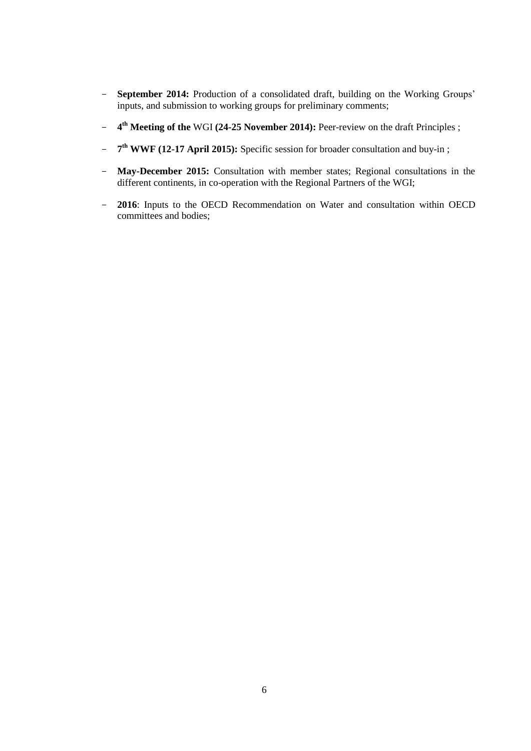- **September 2014:** Production of a consolidated draft, building on the Working Groups' inputs, and submission to working groups for preliminary comments;
- **4 th Meeting of the** WGI **(24-25 November 2014):** Peer-review on the draft Principles ;
- **7 th WWF (12-17 April 2015):** Specific session for broader consultation and buy-in ;
- **May-December 2015:** Consultation with member states; Regional consultations in the different continents, in co-operation with the Regional Partners of the WGI;
- **2016**: Inputs to the OECD Recommendation on Water and consultation within OECD committees and bodies;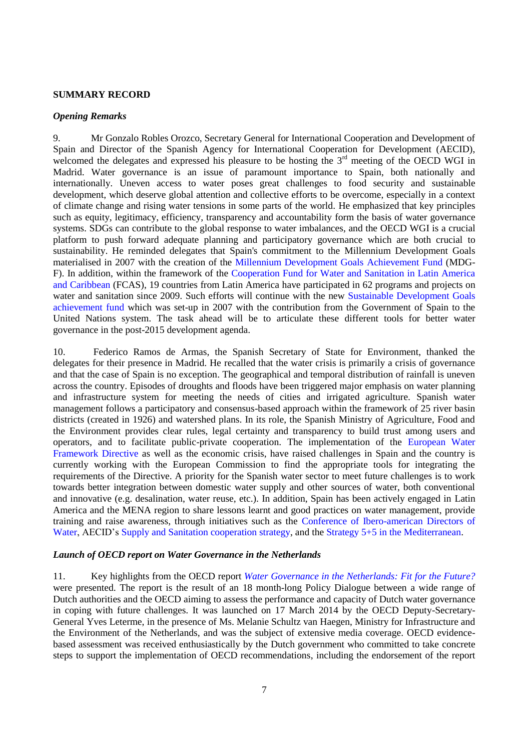#### <span id="page-6-0"></span>**SUMMARY RECORD**

### <span id="page-6-1"></span>*Opening Remarks*

9. Mr Gonzalo Robles Orozco, Secretary General for International Cooperation and Development of Spain and Director of the Spanish Agency for International Cooperation for Development (AECID), welcomed the delegates and expressed his pleasure to be hosting the 3<sup>rd</sup> meeting of the OECD WGI in Madrid. Water governance is an issue of paramount importance to Spain, both nationally and internationally. Uneven access to water poses great challenges to food security and sustainable development, which deserve global attention and collective efforts to be overcome, especially in a context of climate change and rising water tensions in some parts of the world. He emphasized that key principles such as equity, legitimacy, efficiency, transparency and accountability form the basis of water governance systems. SDGs can contribute to the global response to water imbalances, and the OECD WGI is a crucial platform to push forward adequate planning and participatory governance which are both crucial to sustainability. He reminded delegates that Spain's commitment to the Millennium Development Goals materialised in 2007 with the creation of the [Millennium Development Goals](http://www.mdgfund.org/) Achievement Fund (MDG-F). In addition, within the framework of the [Cooperation Fund for Water and Sanitation in Latin America](http://www.fondodelagua.aecid.es/es/fcas/)  [and Caribbean](http://www.fondodelagua.aecid.es/es/fcas/) (FCAS), 19 countries from Latin America have participated in 62 programs and projects on water and sanitation since 2009. Such efforts will continue with the new [Sustainable Development](http://www.mdgfund.org/) Goals [achievement fund](http://www.mdgfund.org/) which was set-up in 2007 with the contribution from the Government of Spain to the United Nations system. The task ahead will be to articulate these different tools for better water governance in the post-2015 development agenda.

10. Federico Ramos de Armas, the Spanish Secretary of State for Environment, thanked the delegates for their presence in Madrid. He recalled that the water crisis is primarily a crisis of governance and that the case of Spain is no exception. The geographical and temporal distribution of rainfall is uneven across the country. Episodes of droughts and floods have been triggered major emphasis on water planning and infrastructure system for meeting the needs of cities and irrigated agriculture. Spanish water management follows a participatory and consensus-based approach within the framework of 25 river basin districts (created in 1926) and watershed plans. In its role, the Spanish Ministry of Agriculture, Food and the Environment provides clear rules, legal certainty and transparency to build trust among users and operators, and to facilitate public-private cooperation. The implementation of the [European Water](http://ec.europa.eu/environment/water/water-framework/index_en.html)  [Framework Directive](http://ec.europa.eu/environment/water/water-framework/index_en.html) as well as the economic crisis, have raised challenges in Spain and the country is currently working with the European Commission to find the appropriate tools for integrating the requirements of the Directive. A priority for the Spanish water sector to meet future challenges is to work towards better integration between domestic water supply and other sources of water, both conventional and innovative (e.g. desalination, water reuse, etc.). In addition, Spain has been actively engaged in Latin America and the MENA region to share lessons learnt and good practices on water management, provide training and raise awareness, through initiatives such as the [Conference of Ibero-american Directors of](http://codiastp.org/web/)  [Water,](http://codiastp.org/web/) AECID's [Supply and Sanitation cooperation strategy,](http://www.aecid.es/EN/aid-sectors/water-and-sanitation) and the [Strategy 5+5 in the Mediterranean.](http://www.iagua.es/ministerio-de-asuntos-exteriores-y-cooperacion)

### <span id="page-6-2"></span>*Launch of OECD report on Water Governance in the Netherlands*

11. Key highlights from the OECD report *[Water Governance in the Netherlands: Fit for the Future?](http://www.oecd.org/gov/regional-policy/water-governance-netherlands.htm)* were presented. The report is the result of an 18 month-long Policy Dialogue between a wide range of Dutch authorities and the OECD aiming to assess the performance and capacity of Dutch water governance in coping with future challenges. It was launched on 17 March 2014 by the OECD Deputy-Secretary-General Yves Leterme, in the presence of Ms. Melanie Schultz van Haegen, Ministry for Infrastructure and the Environment of the Netherlands, and was the subject of extensive media coverage. OECD evidencebased assessment was received enthusiastically by the Dutch government who committed to take concrete steps to support the implementation of OECD recommendations, including the endorsement of the report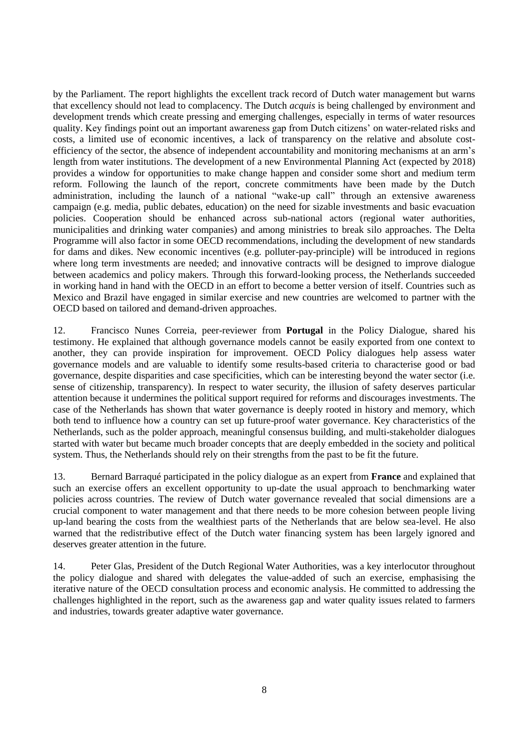by the Parliament. The report highlights the excellent track record of Dutch water management but warns that excellency should not lead to complacency. The Dutch *acquis* is being challenged by environment and development trends which create pressing and emerging challenges, especially in terms of water resources quality. Key findings point out an important awareness gap from Dutch citizens' on water-related risks and costs, a limited use of economic incentives, a lack of transparency on the relative and absolute costefficiency of the sector, the absence of independent accountability and monitoring mechanisms at an arm's length from water institutions. The development of a new Environmental Planning Act (expected by 2018) provides a window for opportunities to make change happen and consider some short and medium term reform. Following the launch of the report, concrete commitments have been made by the Dutch administration, including the launch of a national "wake-up call" through an extensive awareness campaign (e.g. media, public debates, education) on the need for sizable investments and basic evacuation policies. Cooperation should be enhanced across sub-national actors (regional water authorities, municipalities and drinking water companies) and among ministries to break silo approaches. The Delta Programme will also factor in some OECD recommendations, including the development of new standards for dams and dikes. New economic incentives (e.g. polluter-pay-principle) will be introduced in regions where long term investments are needed; and innovative contracts will be designed to improve dialogue between academics and policy makers. Through this forward-looking process, the Netherlands succeeded in working hand in hand with the OECD in an effort to become a better version of itself. Countries such as Mexico and Brazil have engaged in similar exercise and new countries are welcomed to partner with the OECD based on tailored and demand-driven approaches.

12. Francisco Nunes Correia, peer-reviewer from **Portugal** in the Policy Dialogue, shared his testimony. He explained that although governance models cannot be easily exported from one context to another, they can provide inspiration for improvement. OECD Policy dialogues help assess water governance models and are valuable to identify some results-based criteria to characterise good or bad governance, despite disparities and case specificities, which can be interesting beyond the water sector (i.e. sense of citizenship, transparency). In respect to water security, the illusion of safety deserves particular attention because it undermines the political support required for reforms and discourages investments. The case of the Netherlands has shown that water governance is deeply rooted in history and memory, which both tend to influence how a country can set up future-proof water governance. Key characteristics of the Netherlands, such as the polder approach, meaningful consensus building, and multi-stakeholder dialogues started with water but became much broader concepts that are deeply embedded in the society and political system. Thus, the Netherlands should rely on their strengths from the past to be fit the future.

13. Bernard Barraqué participated in the policy dialogue as an expert from **France** and explained that such an exercise offers an excellent opportunity to up-date the usual approach to benchmarking water policies across countries. The review of Dutch water governance revealed that social dimensions are a crucial component to water management and that there needs to be more cohesion between people living up-land bearing the costs from the wealthiest parts of the Netherlands that are below sea-level. He also warned that the redistributive effect of the Dutch water financing system has been largely ignored and deserves greater attention in the future.

14. Peter Glas, President of the Dutch Regional Water Authorities, was a key interlocutor throughout the policy dialogue and shared with delegates the value-added of such an exercise, emphasising the iterative nature of the OECD consultation process and economic analysis. He committed to addressing the challenges highlighted in the report, such as the awareness gap and water quality issues related to farmers and industries, towards greater adaptive water governance.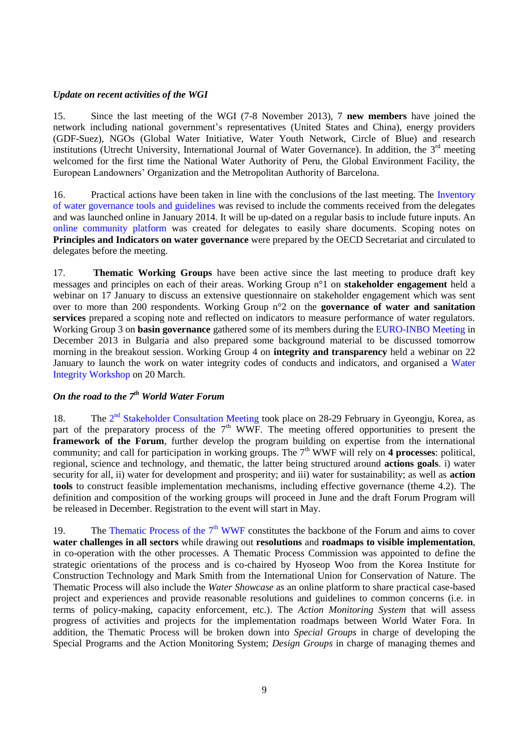### <span id="page-8-0"></span>*Update on recent activities of the WGI*

15. Since the last meeting of the WGI (7-8 November 2013), 7 **new members** have joined the network including national government's representatives (United States and China), energy providers (GDF-Suez), NGOs (Global Water Initiative, Water Youth Network, Circle of Blue) and research institutions (Utrecht University, International Journal of Water Governance). In addition, the 3<sup>rd</sup> meeting welcomed for the first time the National Water Authority of Peru, the Global Environment Facility, the European Landowners' Organization and the Metropolitan Authority of Barcelona.

16. Practical actions have been taken in line with the conclusions of the last meeting. The [Inventory](http://www.oecd.org/gov/regional-policy/Inventory.pdf)  [of water governance tools](http://www.oecd.org/gov/regional-policy/Inventory.pdf) and guidelines was revised to include the comments received from the delegates and was launched online in January 2014. It will be up-dated on a regular basis to include future inputs. An [online community platform](https://community.oecd.org/community/wgi) was created for delegates to easily share documents. Scoping notes on **Principles and Indicators on water governance** were prepared by the OECD Secretariat and circulated to delegates before the meeting.

17. **Thematic Working Groups** have been active since the last meeting to produce draft key messages and principles on each of their areas. Working Group n°1 on **stakeholder engagement** held a webinar on 17 January to discuss an extensive questionnaire on stakeholder engagement which was sent over to more than 200 respondents. Working Group n°2 on the **governance of water and sanitation services** prepared a scoping note and reflected on indicators to measure performance of water regulators. Working Group 3 on **basin governance** gathered some of its members during the [EURO-INBO Meeting](http://www.inbo-news.org/inbo/papers-and-photos-of-past-events/article/europe-inbo-2013) in December 2013 in Bulgaria and also prepared some background material to be discussed tomorrow morning in the breakout session. Working Group 4 on **integrity and transparency** held a webinar on 22 January to launch the work on water integrity codes of conducts and indicators, and organised a [Water](http://www.oecd.org/cleangovbiz/2014WaterIntegrityWorkshopAgenda.pdf)  [Integrity Workshop](http://www.oecd.org/cleangovbiz/2014WaterIntegrityWorkshopAgenda.pdf) on 20 March.

# <span id="page-8-1"></span>*On the road to the 7th World Water Forum*

18. The 2<sup>nd</sup> [Stakeholder Consultation Meeting](http://eng.worldwaterforum7.org/en/Scm/About/Overview) took place on 28-29 February in Gyeongju, Korea, as part of the preparatory process of the  $7<sup>th</sup>$  WWF. The meeting offered opportunities to present the **framework of the Forum**, further develop the program building on expertise from the international community; and call for participation in working groups. The  $7<sup>th</sup>$  WWF will rely on 4 processes: political, regional, science and technology, and thematic, the latter being structured around **actions goals**. i) water security for all, ii) water for development and prosperity; and iii) water for sustainability; as well as **action tools** to construct feasible implementation mechanisms, including effective governance (theme 4.2). The definition and composition of the working groups will proceed in June and the draft Forum Program will be released in December. Registration to the event will start in May.

19. The Thematic Process of the  $7<sup>th</sup>$  WWF constitutes the backbone of the Forum and aims to cover **water challenges in all sectors** while drawing out **resolutions** and **roadmaps to visible implementation**, in co-operation with the other processes. A Thematic Process Commission was appointed to define the strategic orientations of the process and is co-chaired by Hyoseop Woo from the Korea Institute for Construction Technology and Mark Smith from the International Union for Conservation of Nature. The Thematic Process will also include the *Water Showcase* as an online platform to share practical case-based project and experiences and provide reasonable resolutions and guidelines to common concerns (i.e. in terms of policy-making, capacity enforcement, etc.). The *Action Monitoring System* that will assess progress of activities and projects for the implementation roadmaps between World Water Fora. In addition, the Thematic Process will be broken down into *Special Groups* in charge of developing the Special Programs and the Action Monitoring System; *Design Groups* in charge of managing themes and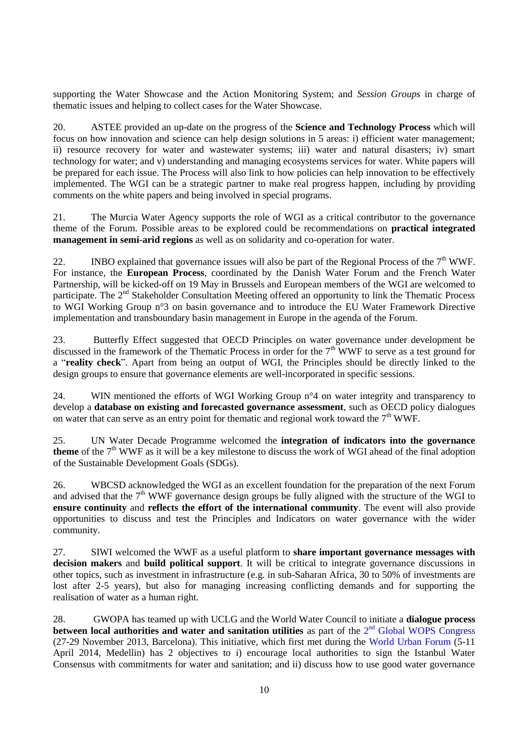supporting the Water Showcase and the Action Monitoring System; and *Session Groups* in charge of thematic issues and helping to collect cases for the Water Showcase.

20. ASTEE provided an up-date on the progress of the **Science and Technology Process** which will focus on how innovation and science can help design solutions in 5 areas: i) efficient water management; ii) resource recovery for water and wastewater systems; iii) water and natural disasters; iv) smart technology for water; and v) understanding and managing ecosystems services for water. White papers will be prepared for each issue. The Process will also link to how policies can help innovation to be effectively implemented. The WGI can be a strategic partner to make real progress happen, including by providing comments on the white papers and being involved in special programs.

21. The Murcia Water Agency supports the role of WGI as a critical contributor to the governance theme of the Forum. Possible areas to be explored could be recommendations on **practical integrated management in semi-arid regions** as well as on solidarity and co-operation for water.

22. INBO explained that governance issues will also be part of the Regional Process of the  $7<sup>th</sup> WWF$ . For instance, the **European Process**, coordinated by the Danish Water Forum and the French Water Partnership, will be kicked-off on 19 May in Brussels and European members of the WGI are welcomed to participate. The 2<sup>nd</sup> Stakeholder Consultation Meeting offered an opportunity to link the Thematic Process to WGI Working Group n°3 on basin governance and to introduce the EU Water Framework Directive implementation and transboundary basin management in Europe in the agenda of the Forum.

23. Butterfly Effect suggested that OECD Principles on water governance under development be discussed in the framework of the Thematic Process in order for the 7<sup>th</sup> WWF to serve as a test ground for a "**reality check**". Apart from being an output of WGI, the Principles should be directly linked to the design groups to ensure that governance elements are well-incorporated in specific sessions.

24. WIN mentioned the efforts of WGI Working Group  $n^{\circ}$  on water integrity and transparency to develop a **database on existing and forecasted governance assessment**, such as OECD policy dialogues on water that can serve as an entry point for thematic and regional work toward the  $7<sup>th</sup>$  WWF.

25. UN Water Decade Programme welcomed the **integration of indicators into the governance theme** of the  $7<sup>th</sup> WWF$  as it will be a key milestone to discuss the work of WGI ahead of the final adoption of the Sustainable Development Goals (SDGs).

26. WBCSD acknowledged the WGI as an excellent foundation for the preparation of the next Forum and advised that the  $7<sup>th</sup> WWF$  governance design groups be fully aligned with the structure of the WGI to **ensure continuity** and **reflects the effort of the international community**. The event will also provide opportunities to discuss and test the Principles and Indicators on water governance with the wider community.

27. SIWI welcomed the WWF as a useful platform to **share important governance messages with decision makers** and **build political support**. It will be critical to integrate governance discussions in other topics, such as investment in infrastructure (e.g. in sub-Saharan Africa, 30 to 50% of investments are lost after 2-5 years), but also for managing increasing conflicting demands and for supporting the realisation of water as a human right.

28. GWOPA has teamed up with UCLG and the World Water Council to initiate a **dialogue process**  between local authorities and water and sanitation utilities as part of the 2<sup>nd</sup> [Global WOPS Congress](http://gwopa.org/news-and-events/news/3517-save-the-dates-for-2nd-gwopa-congress-and-general-assembly-in-november-2013) (27-29 November 2013, Barcelona). This initiative, which first met during the [World Urban Forum](http://wuf7.unhabitat.org/) (5-11 April 2014, Medellin) has 2 objectives to i) encourage local authorities to sign the Istanbul Water Consensus with commitments for water and sanitation; and ii) discuss how to use good water governance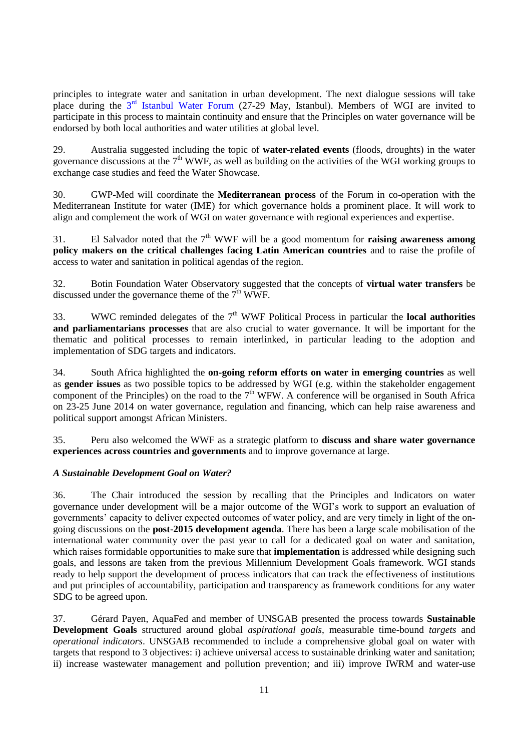principles to integrate water and sanitation in urban development. The next dialogue sessions will take place during the 3<sup>rd</sup> [Istanbul Water Forum](file:///C:/Users/clavreul_d/AppData/Local/Microsoft/Windows/Temporary%20Internet%20Files/Content.Outlook/QORFDURH/3rd%20Istanbul%20International%20Water%20Forum) (27-29 May, Istanbul). Members of WGI are invited to participate in this process to maintain continuity and ensure that the Principles on water governance will be endorsed by both local authorities and water utilities at global level.

29. Australia suggested including the topic of **water-related events** (floods, droughts) in the water governance discussions at the  $7<sup>th</sup> WWF$ , as well as building on the activities of the WGI working groups to exchange case studies and feed the Water Showcase.

30. GWP-Med will coordinate the **Mediterranean process** of the Forum in co-operation with the Mediterranean Institute for water (IME) for which governance holds a prominent place. It will work to align and complement the work of WGI on water governance with regional experiences and expertise.

31. El Salvador noted that the  $7<sup>th</sup>$  WWF will be a good momentum for **raising awareness among policy makers on the critical challenges facing Latin American countries** and to raise the profile of access to water and sanitation in political agendas of the region.

32. Botin Foundation Water Observatory suggested that the concepts of **virtual water transfers** be discussed under the governance theme of the  $7<sup>th</sup>$  WWF.

33. WWC reminded delegates of the  $7<sup>th</sup>$  WWF Political Process in particular the **local authorities and parliamentarians processes** that are also crucial to water governance. It will be important for the thematic and political processes to remain interlinked, in particular leading to the adoption and implementation of SDG targets and indicators.

34. South Africa highlighted the **on-going reform efforts on water in emerging countries** as well as **gender issues** as two possible topics to be addressed by WGI (e.g. within the stakeholder engagement component of the Principles) on the road to the  $7<sup>th</sup>$  WFW. A conference will be organised in South Africa on 23-25 June 2014 on water governance, regulation and financing, which can help raise awareness and political support amongst African Ministers.

35. Peru also welcomed the WWF as a strategic platform to **discuss and share water governance experiences across countries and governments** and to improve governance at large.

## <span id="page-10-0"></span>*A Sustainable Development Goal on Water?*

36. The Chair introduced the session by recalling that the Principles and Indicators on water governance under development will be a major outcome of the WGI's work to support an evaluation of governments' capacity to deliver expected outcomes of water policy, and are very timely in light of the ongoing discussions on the **post-2015 development agenda**. There has been a large scale mobilisation of the international water community over the past year to call for a dedicated goal on water and sanitation, which raises formidable opportunities to make sure that **implementation** is addressed while designing such goals, and lessons are taken from the previous Millennium Development Goals framework. WGI stands ready to help support the development of process indicators that can track the effectiveness of institutions and put principles of accountability, participation and transparency as framework conditions for any water SDG to be agreed upon.

37. Gérard Payen, AquaFed and member of UNSGAB presented the process towards **Sustainable Development Goals** structured around global *aspirational goals*, measurable time-bound *targets* and *operational indicators*. UNSGAB recommended to include a comprehensive global goal on water with targets that respond to 3 objectives: i) achieve universal access to sustainable drinking water and sanitation; ii) increase wastewater management and pollution prevention; and iii) improve IWRM and water-use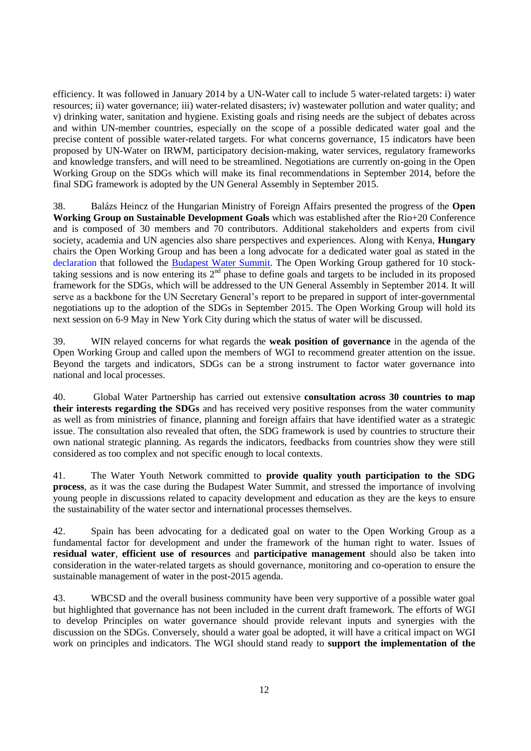efficiency. It was followed in January 2014 by a UN-Water call to include 5 water-related targets: i) water resources; ii) water governance; iii) water-related disasters; iv) wastewater pollution and water quality; and v) drinking water, sanitation and hygiene. Existing goals and rising needs are the subject of debates across and within UN-member countries, especially on the scope of a possible dedicated water goal and the precise content of possible water-related targets. For what concerns governance, 15 indicators have been proposed by UN-Water on IRWM, participatory decision-making, water services, regulatory frameworks and knowledge transfers, and will need to be streamlined. Negotiations are currently on-going in the Open Working Group on the SDGs which will make its final recommendations in September 2014, before the final SDG framework is adopted by the UN General Assembly in September 2015.

38. Balázs Heincz of the Hungarian Ministry of Foreign Affairs presented the progress of the **Open Working Group on Sustainable Development Goals** which was established after the Rio+20 Conference and is composed of 30 members and 70 contributors. Additional stakeholders and experts from civil society, academia and UN agencies also share perspectives and experiences. Along with Kenya, **Hungary** chairs the Open Working Group and has been a long advocate for a dedicated water goal as stated in the [declaration](http://www.budapestwatersummit.hu/data/images/Budapest_Water_Summit_Statement___Final___11_October_2013.pdf) that followed the [Budapest Water Summit.](http://www.budapestwatersummit.hu/data/images/BWS_Detailed_programme.pdf) The Open Working Group gathered for 10 stocktaking sessions and is now entering its  $2<sup>nd</sup>$  phase to define goals and targets to be included in its proposed framework for the SDGs, which will be addressed to the UN General Assembly in September 2014. It will serve as a backbone for the UN Secretary General's report to be prepared in support of inter-governmental negotiations up to the adoption of the SDGs in September 2015. The Open Working Group will hold its next session on 6-9 May in New York City during which the status of water will be discussed.

39. WIN relayed concerns for what regards the **weak position of governance** in the agenda of the Open Working Group and called upon the members of WGI to recommend greater attention on the issue. Beyond the targets and indicators, SDGs can be a strong instrument to factor water governance into national and local processes.

40. Global Water Partnership has carried out extensive **consultation across 30 countries to map their interests regarding the SDGs** and has received very positive responses from the water community as well as from ministries of finance, planning and foreign affairs that have identified water as a strategic issue. The consultation also revealed that often, the SDG framework is used by countries to structure their own national strategic planning. As regards the indicators, feedbacks from countries show they were still considered as too complex and not specific enough to local contexts.

41. The Water Youth Network committed to **provide quality youth participation to the SDG process**, as it was the case during the Budapest Water Summit, and stressed the importance of involving young people in discussions related to capacity development and education as they are the keys to ensure the sustainability of the water sector and international processes themselves.

42. Spain has been advocating for a dedicated goal on water to the Open Working Group as a fundamental factor for development and under the framework of the human right to water. Issues of **residual water**, **efficient use of resources** and **participative management** should also be taken into consideration in the water-related targets as should governance, monitoring and co-operation to ensure the sustainable management of water in the post-2015 agenda.

43. WBCSD and the overall business community have been very supportive of a possible water goal but highlighted that governance has not been included in the current draft framework. The efforts of WGI to develop Principles on water governance should provide relevant inputs and synergies with the discussion on the SDGs. Conversely, should a water goal be adopted, it will have a critical impact on WGI work on principles and indicators. The WGI should stand ready to **support the implementation of the**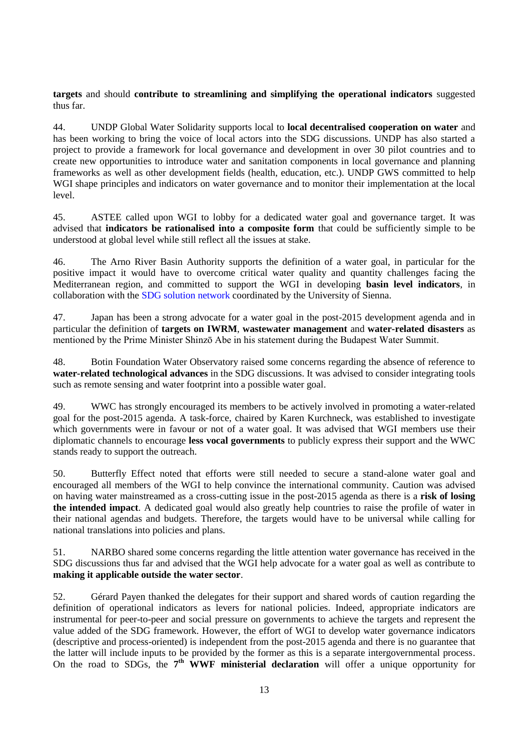**targets** and should **contribute to streamlining and simplifying the operational indicators** suggested thus far.

44. UNDP Global Water Solidarity supports local to **local decentralised cooperation on water** and has been working to bring the voice of local actors into the SDG discussions. UNDP has also started a project to provide a framework for local governance and development in over 30 pilot countries and to create new opportunities to introduce water and sanitation components in local governance and planning frameworks as well as other development fields (health, education, etc.). UNDP GWS committed to help WGI shape principles and indicators on water governance and to monitor their implementation at the local level.

45. ASTEE called upon WGI to lobby for a dedicated water goal and governance target. It was advised that **indicators be rationalised into a composite form** that could be sufficiently simple to be understood at global level while still reflect all the issues at stake.

46. The Arno River Basin Authority supports the definition of a water goal, in particular for the positive impact it would have to overcome critical water quality and quantity challenges facing the Mediterranean region, and committed to support the WGI in developing **basin level indicators**, in collaboration with the [SDG solution network](http://unsdsn.org/) coordinated by the University of Sienna.

47. Japan has been a strong advocate for a water goal in the post-2015 development agenda and in particular the definition of **targets on IWRM**, **wastewater management** and **water-related disasters** as mentioned by the Prime Minister Shinzō Abe in his statement during the Budapest Water Summit.

48. Botin Foundation Water Observatory raised some concerns regarding the absence of reference to **water-related technological advances** in the SDG discussions. It was advised to consider integrating tools such as remote sensing and water footprint into a possible water goal.

49. WWC has strongly encouraged its members to be actively involved in promoting a water-related goal for the post-2015 agenda. A task-force, chaired by Karen Kurchneck, was established to investigate which governments were in favour or not of a water goal. It was advised that WGI members use their diplomatic channels to encourage **less vocal governments** to publicly express their support and the WWC stands ready to support the outreach.

50. Butterfly Effect noted that efforts were still needed to secure a stand-alone water goal and encouraged all members of the WGI to help convince the international community. Caution was advised on having water mainstreamed as a cross-cutting issue in the post-2015 agenda as there is a **risk of losing the intended impact**. A dedicated goal would also greatly help countries to raise the profile of water in their national agendas and budgets. Therefore, the targets would have to be universal while calling for national translations into policies and plans.

51. NARBO shared some concerns regarding the little attention water governance has received in the SDG discussions thus far and advised that the WGI help advocate for a water goal as well as contribute to **making it applicable outside the water sector**.

52. Gérard Payen thanked the delegates for their support and shared words of caution regarding the definition of operational indicators as levers for national policies. Indeed, appropriate indicators are instrumental for peer-to-peer and social pressure on governments to achieve the targets and represent the value added of the SDG framework. However, the effort of WGI to develop water governance indicators (descriptive and process-oriented) is independent from the post-2015 agenda and there is no guarantee that the latter will include inputs to be provided by the former as this is a separate intergovernmental process. On the road to SDGs, the 7<sup>th</sup> WWF ministerial declaration will offer a unique opportunity for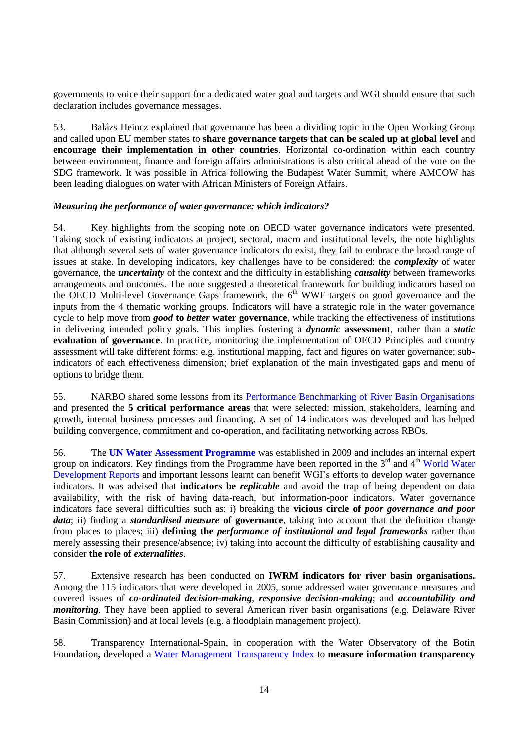governments to voice their support for a dedicated water goal and targets and WGI should ensure that such declaration includes governance messages.

53. Balázs Heincz explained that governance has been a dividing topic in the Open Working Group and called upon EU member states to **share governance targets that can be scaled up at global level** and **encourage their implementation in other countries**. Horizontal co-ordination within each country between environment, finance and foreign affairs administrations is also critical ahead of the vote on the SDG framework. It was possible in Africa following the Budapest Water Summit, where AMCOW has been leading dialogues on water with African Ministers of Foreign Affairs.

### <span id="page-13-0"></span>*Measuring the performance of water governance: which indicators?*

54. Key highlights from the scoping note on OECD water governance indicators were presented. Taking stock of existing indicators at project, sectoral, macro and institutional levels, the note highlights that although several sets of water governance indicators do exist, they fail to embrace the broad range of issues at stake. In developing indicators, key challenges have to be considered: the *complexity* of water governance, the *uncertainty* of the context and the difficulty in establishing *causality* between frameworks arrangements and outcomes. The note suggested a theoretical framework for building indicators based on the OECD Multi-level Governance Gaps framework, the 6<sup>th</sup> WWF targets on good governance and the inputs from the 4 thematic working groups. Indicators will have a strategic role in the water governance cycle to help move from *good* **to** *better* **water governance**, while tracking the effectiveness of institutions in delivering intended policy goals. This implies fostering a *dynamic* **assessment**, rather than a *static* **evaluation of governance**. In practice, monitoring the implementation of OECD Principles and country assessment will take different forms: e.g. institutional mapping, fact and figures on water governance; subindicators of each effectiveness dimension; brief explanation of the main investigated gaps and menu of options to bridge them.

55. NARBO shared some lessons from its [Performance Benchmarking of River Basin Organisations](http://www.narbo.jp/event/ev_annc_Performance_Benchmarking.html) and presented the **5 critical performance areas** that were selected: mission, stakeholders, learning and growth, internal business processes and financing. A set of 14 indicators was developed and has helped building convergence, commitment and co-operation, and facilitating networking across RBOs.

56. The **[UN Water Assessment Programme](http://www.unesco.org/new/en/natural-sciences/environment/water/wwap/facts-and-figures/)** was established in 2009 and includes an internal expert group on indicators. Key findings from the Programme have been reported in the 3<sup>rd</sup> and 4<sup>th</sup> World Water [Development Reports](http://www.unwater.org/publications/world-water-development-report/en/) and important lessons learnt can benefit WGI's efforts to develop water governance indicators. It was advised that **indicators be** *replicable* and avoid the trap of being dependent on data availability, with the risk of having data-reach, but information-poor indicators. Water governance indicators face several difficulties such as: i) breaking the **vicious circle of** *poor governance and poor data*; ii) finding a *standardised measure* **of governance**, taking into account that the definition change from places to places; iii) **defining the** *performance of institutional and legal frameworks* rather than merely assessing their presence/absence; iv) taking into account the difficulty of establishing causality and consider **the role of** *externalities.*

57. Extensive research has been conducted on **IWRM indicators for river basin organisations.**  Among the 115 indicators that were developed in 2005, some addressed water governance measures and covered issues of *co-ordinated decision-making*, *responsive decision-making*; and *accountability and monitoring*. They have been applied to several American river basin organisations (e.g. Delaware River Basin Commission) and at local levels (e.g. a floodplain management project).

58. Transparency International-Spain, in cooperation with the Water Observatory of the Botin Foundation**,** developed a [Water Management Transparency Index](http://www.waterintegritynetwork.net/fr/tools/42-water-management-transparency-index/voir-details) to **measure information transparency**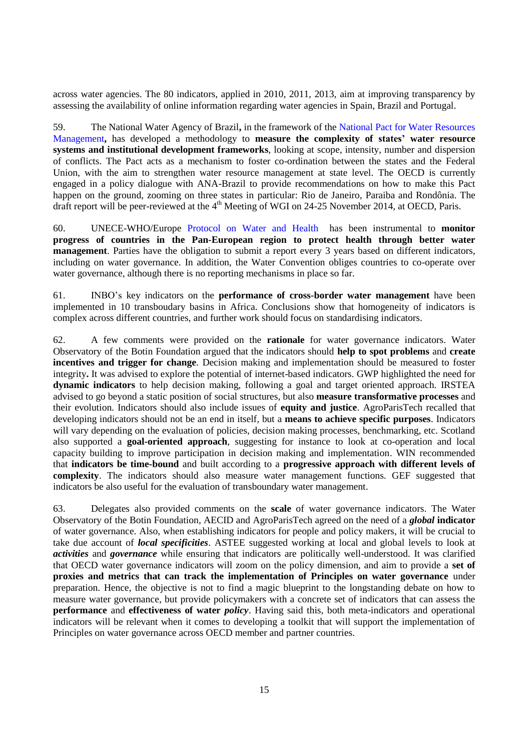across water agencies. The 80 indicators, applied in 2010, 2011, 2013, aim at improving transparency by assessing the availability of online information regarding water agencies in Spain, Brazil and Portugal.

59. The National Water Agency of Brazil**,** in the framework of the [National Pact for Water Resources](http://www2.ana.gov.br/Paginas/EN/programs.aspx)  [Management](http://www2.ana.gov.br/Paginas/EN/programs.aspx)**,** has developed a methodology to **measure the complexity of states' water resource systems and institutional development frameworks**, looking at scope, intensity, number and dispersion of conflicts. The Pact acts as a mechanism to foster co-ordination between the states and the Federal Union, with the aim to strengthen water resource management at state level. The OECD is currently engaged in a policy dialogue with ANA-Brazil to provide recommendations on how to make this Pact happen on the ground, zooming on three states in particular: Rio de Janeiro, Paraiba and Rondônia. The draft report will be peer-reviewed at the 4<sup>th</sup> Meeting of WGI on 24-25 November 2014, at OECD, Paris.

60. UNECE-WHO/Europe [Protocol on Water and Health](http://www.unece.org/?id=2975) has been instrumental to **monitor progress of countries in the Pan-European region to protect health through better water management**. Parties have the obligation to submit a report every 3 years based on different indicators, including on water governance. In addition, the Water Convention obliges countries to co-operate over water governance, although there is no reporting mechanisms in place so far.

61. INBO's key indicators on the **performance of cross-border water management** have been implemented in 10 transboudary basins in Africa. Conclusions show that homogeneity of indicators is complex across different countries, and further work should focus on standardising indicators.

62. A few comments were provided on the **rationale** for water governance indicators. Water Observatory of the Botin Foundation argued that the indicators should **help to spot problems** and **create incentives and trigger for change**. Decision making and implementation should be measured to foster integrity**.** It was advised to explore the potential of internet-based indicators. GWP highlighted the need for **dynamic indicators** to help decision making, following a goal and target oriented approach. IRSTEA advised to go beyond a static position of social structures, but also **measure transformative processes** and their evolution. Indicators should also include issues of **equity and justice**. AgroParisTech recalled that developing indicators should not be an end in itself, but a **means to achieve specific purposes**. Indicators will vary depending on the evaluation of policies, decision making processes, benchmarking, etc. Scotland also supported a **goal-oriented approach**, suggesting for instance to look at co-operation and local capacity building to improve participation in decision making and implementation. WIN recommended that **indicators be time-bound** and built according to a **progressive approach with different levels of complexity**. The indicators should also measure water management functions. GEF suggested that indicators be also useful for the evaluation of transboundary water management.

63. Delegates also provided comments on the **scale** of water governance indicators. The Water Observatory of the Botin Foundation, AECID and AgroParisTech agreed on the need of a *global* **indicator** of water governance. Also, when establishing indicators for people and policy makers, it will be crucial to take due account of *local specificities*. ASTEE suggested working at local and global levels to look at *activities* and *governance* while ensuring that indicators are politically well-understood. It was clarified that OECD water governance indicators will zoom on the policy dimension, and aim to provide a **set of proxies and metrics that can track the implementation of Principles on water governance** under preparation. Hence, the objective is not to find a magic blueprint to the longstanding debate on how to measure water governance, but provide policymakers with a concrete set of indicators that can assess the **performance** and **effectiveness of water** *policy*. Having said this, both meta-indicators and operational indicators will be relevant when it comes to developing a toolkit that will support the implementation of Principles on water governance across OECD member and partner countries.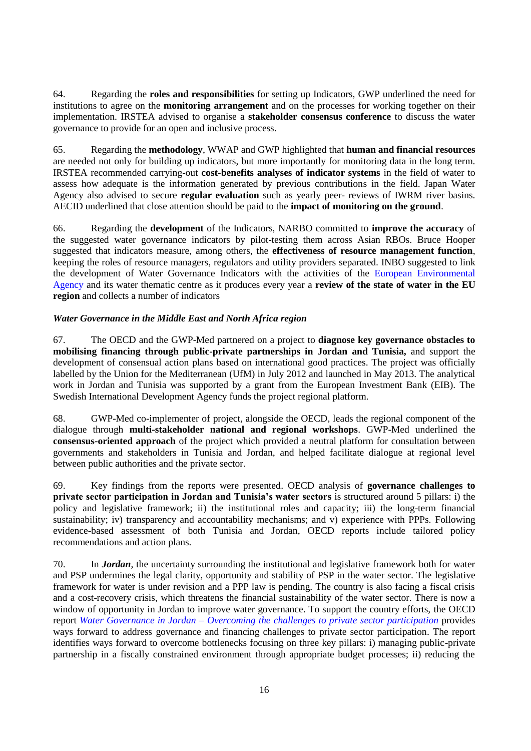64. Regarding the **roles and responsibilities** for setting up Indicators, GWP underlined the need for institutions to agree on the **monitoring arrangement** and on the processes for working together on their implementation. IRSTEA advised to organise a **stakeholder consensus conference** to discuss the water governance to provide for an open and inclusive process.

65. Regarding the **methodology**, WWAP and GWP highlighted that **human and financial resources** are needed not only for building up indicators, but more importantly for monitoring data in the long term. IRSTEA recommended carrying-out **cost-benefits analyses of indicator systems** in the field of water to assess how adequate is the information generated by previous contributions in the field. Japan Water Agency also advised to secure **regular evaluation** such as yearly peer- reviews of IWRM river basins. AECID underlined that close attention should be paid to the **impact of monitoring on the ground**.

66. Regarding the **development** of the Indicators, NARBO committed to **improve the accuracy** of the suggested water governance indicators by pilot-testing them across Asian RBOs. Bruce Hooper suggested that indicators measure, among others, the **effectiveness of resource management function**, keeping the roles of resource managers, regulators and utility providers separated. INBO suggested to link the development of Water Governance Indicators with the activities of the [European Environmental](http://www.eea.europa.eu/fr)  [Agency](http://www.eea.europa.eu/fr) and its water thematic centre as it produces every year a **review of the state of water in the EU region** and collects a number of indicators

## <span id="page-15-0"></span>*Water Governance in the Middle East and North Africa region*

67. The OECD and the GWP-Med partnered on a project to **diagnose key governance obstacles to mobilising financing through public-private partnerships in Jordan and Tunisia,** and support the development of consensual action plans based on international good practices. The project was officially labelled by the Union for the Mediterranean (UfM) in July 2012 and launched in May 2013. The analytical work in Jordan and Tunisia was supported by a grant from the European Investment Bank (EIB). The Swedish International Development Agency funds the project regional platform.

68. GWP-Med co-implementer of project, alongside the OECD, leads the regional component of the dialogue through **multi-stakeholder national and regional workshops**. GWP-Med underlined the **consensus-oriented approach** of the project which provided a neutral platform for consultation between governments and stakeholders in Tunisia and Jordan, and helped facilitate dialogue at regional level between public authorities and the private sector.

69. Key findings from the reports were presented. OECD analysis of **governance challenges to private sector participation in Jordan and Tunisia's water sectors** is structured around 5 pillars: i) the policy and legislative framework; ii) the institutional roles and capacity; iii) the long-term financial sustainability; iv) transparency and accountability mechanisms; and v) experience with PPPs. Following evidence-based assessment of both Tunisia and Jordan, OECD reports include tailored policy recommendations and action plans.

70. In *Jordan*, the uncertainty surrounding the institutional and legislative framework both for water and PSP undermines the legal clarity, opportunity and stability of PSP in the water sector. The legislative framework for water is under revision and a PPP law is pending. The country is also facing a fiscal crisis and a cost-recovery crisis, which threatens the financial sustainability of the water sector. There is now a window of opportunity in Jordan to improve water governance. To support the country efforts, the OECD report *Water Governance in Jordan – [Overcoming the challenges to private sector participation](http://www.oecd-ilibrary.org/governance/water-service-governance-in-jordan_9789264213753-en)* provides ways forward to address governance and financing challenges to private sector participation. The report identifies ways forward to overcome bottlenecks focusing on three key pillars: i) managing public-private partnership in a fiscally constrained environment through appropriate budget processes; ii) reducing the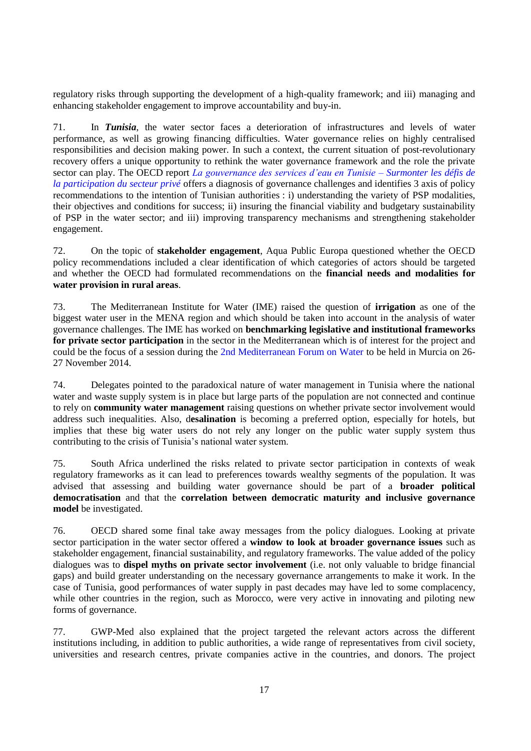regulatory risks through supporting the development of a high-quality framework; and iii) managing and enhancing stakeholder engagement to improve accountability and buy-in.

71. In *Tunisia*, the water sector faces a deterioration of infrastructures and levels of water performance, as well as growing financing difficulties. Water governance relies on highly centralised responsibilities and decision making power. In such a context, the current situation of post-revolutionary recovery offers a unique opportunity to rethink the water governance framework and the role the private sector can play. The OECD report *[La gouvernance des services d'eau en Tunisie –](http://www.oecd-ilibrary.org/governance/la-gouvernance-des-services-de-l-eau-en-tunisie_9789264213807-fr) Surmonter les défis de [la participation du secteur privé](http://www.oecd-ilibrary.org/governance/la-gouvernance-des-services-de-l-eau-en-tunisie_9789264213807-fr)* offers a diagnosis of governance challenges and identifies 3 axis of policy recommendations to the intention of Tunisian authorities : i) understanding the variety of PSP modalities, their objectives and conditions for success; ii) insuring the financial viability and budgetary sustainability of PSP in the water sector; and iii) improving transparency mechanisms and strengthening stakeholder engagement.

72. On the topic of **stakeholder engagement**, Aqua Public Europa questioned whether the OECD policy recommendations included a clear identification of which categories of actors should be targeted and whether the OECD had formulated recommendations on the **financial needs and modalities for water provision in rural areas**.

73. The Mediterranean Institute for Water (IME) raised the question of **irrigation** as one of the biggest water user in the MENA region and which should be taken into account in the analysis of water governance challenges. The IME has worked on **benchmarking legislative and institutional frameworks for private sector participation** in the sector in the Mediterranean which is of interest for the project and could be the focus of a session during the [2nd Mediterranean Forum on Water](http://www.ime-eau.org/fr/web/actualites-ime.php?clsess=8ee481f5a99a1ecbc325fba135f5adff) to be held in Murcia on 26- 27 November 2014.

74. Delegates pointed to the paradoxical nature of water management in Tunisia where the national water and waste supply system is in place but large parts of the population are not connected and continue to rely on **community water management** raising questions on whether private sector involvement would address such inequalities. Also, d**esalination** is becoming a preferred option, especially for hotels, but implies that these big water users do not rely any longer on the public water supply system thus contributing to the crisis of Tunisia's national water system.

75. South Africa underlined the risks related to private sector participation in contexts of weak regulatory frameworks as it can lead to preferences towards wealthy segments of the population. It was advised that assessing and building water governance should be part of a **broader political democratisation** and that the **correlation between democratic maturity and inclusive governance model** be investigated.

76. OECD shared some final take away messages from the policy dialogues. Looking at private sector participation in the water sector offered a **window to look at broader governance issues** such as stakeholder engagement, financial sustainability, and regulatory frameworks. The value added of the policy dialogues was to **dispel myths on private sector involvement** (i.e. not only valuable to bridge financial gaps) and build greater understanding on the necessary governance arrangements to make it work. In the case of Tunisia, good performances of water supply in past decades may have led to some complacency, while other countries in the region, such as Morocco, were very active in innovating and piloting new forms of governance.

77. GWP-Med also explained that the project targeted the relevant actors across the different institutions including, in addition to public authorities, a wide range of representatives from civil society, universities and research centres, private companies active in the countries, and donors. The project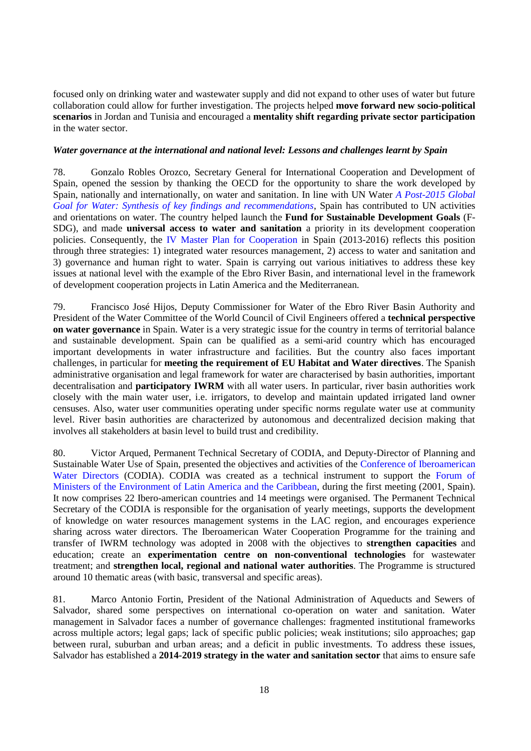focused only on drinking water and wastewater supply and did not expand to other uses of water but future collaboration could allow for further investigation. The projects helped **move forward new socio-political scenarios** in Jordan and Tunisia and encouraged a **mentality shift regarding private sector participation** in the water sector.

### <span id="page-17-0"></span>*Water governance at the international and national level: Lessons and challenges learnt by Spain*

78. Gonzalo Robles Orozco, Secretary General for International Cooperation and Development of Spain, opened the session by thanking the OECD for the opportunity to share the work developed by Spain, nationally and internationally, on water and sanitation. In line with UN Water *[A Post-2015 Global](http://www.unwater.org/topics/water-in-the-post-2015-development-agenda/en/)  [Goal for Water: Synthesis of key findings and recommendations](http://www.unwater.org/topics/water-in-the-post-2015-development-agenda/en/)*, Spain has contributed to UN activities and orientations on water. The country helped launch the **Fund for Sustainable Development Goals** (F-SDG), and made **universal access to water and sanitation** a priority in its development cooperation policies. Consequently, the [IV Master Plan for Cooperation](http://www.google.fr/url?sa=t&rct=j&q=&esrc=s&source=web&cd=3&ved=0CEQQFjAC&url=http%3A%2F%2Fwww.aecid.es%2FCentro-Documentacion%2FDocumentos%2FDivulgaci%25C3%25B3n%2FDESPLEGABLE_IV_Plan_Director_English.pdf&ei=iX17U7zZFqGn0QXMhoDgCQ&usg=AFQjCNEQCEgPrCp1a3J1BpR1RznZzf9_Lw&sig2=Rka230_9X4XvacLwsXxQMA&bvm=bv.67229260,d.d2k) in Spain (2013-2016) reflects this position through three strategies: 1) integrated water resources management, 2) access to water and sanitation and 3) governance and human right to water. Spain is carrying out various initiatives to address these key issues at national level with the example of the Ebro River Basin, and international level in the framework of development cooperation projects in Latin America and the Mediterranean.

79. Francisco José Hijos, Deputy Commissioner for Water of the Ebro River Basin Authority and President of the Water Committee of the World Council of Civil Engineers offered a **technical perspective on water governance** in Spain. Water is a very strategic issue for the country in terms of territorial balance and sustainable development. Spain can be qualified as a semi-arid country which has encouraged important developments in water infrastructure and facilities. But the country also faces important challenges, in particular for **meeting the requirement of EU Habitat and Water directives**. The Spanish administrative organisation and legal framework for water are characterised by basin authorities, important decentralisation and **participatory IWRM** with all water users. In particular, river basin authorities work closely with the main water user, i.e. irrigators, to develop and maintain updated irrigated land owner censuses. Also, water user communities operating under specific norms regulate water use at community level. River basin authorities are characterized by autonomous and decentralized decision making that involves all stakeholders at basin level to build trust and credibility.

80. Victor Arqued, Permanent Technical Secretary of CODIA, and Deputy-Director of Planning and Sustainable Water Use of Spain, presented the objectives and activities of the [Conference of Iberoamerican](http://codiastp.org/web/)  [Water Directors](http://codiastp.org/web/) (CODIA). CODIA was created as a technical instrument to support the Forum of Ministers [of the Environment of Latin America and the Caribbean,](http://www.pnuma.org/forumofministers/00-presentation/) during the first meeting (2001, Spain). It now comprises 22 Ibero-american countries and 14 meetings were organised. The Permanent Technical Secretary of the CODIA is responsible for the organisation of yearly meetings, supports the development of knowledge on water resources management systems in the LAC region, and encourages experience sharing across water directors. The Iberoamerican Water Cooperation Programme for the training and transfer of IWRM technology was adopted in 2008 with the objectives to **strengthen capacities** and education; create an **experimentation centre on non-conventional technologies** for wastewater treatment; and **strengthen local, regional and national water authorities**. The Programme is structured around 10 thematic areas (with basic, transversal and specific areas).

81. Marco Antonio Fortin, President of the National Administration of Aqueducts and Sewers of Salvador, shared some perspectives on international co-operation on water and sanitation. Water management in Salvador faces a number of governance challenges: fragmented institutional frameworks across multiple actors; legal gaps; lack of specific public policies; weak institutions; silo approaches; gap between rural, suburban and urban areas; and a deficit in public investments. To address these issues, Salvador has established a **2014-2019 strategy in the water and sanitation sector** that aims to ensure safe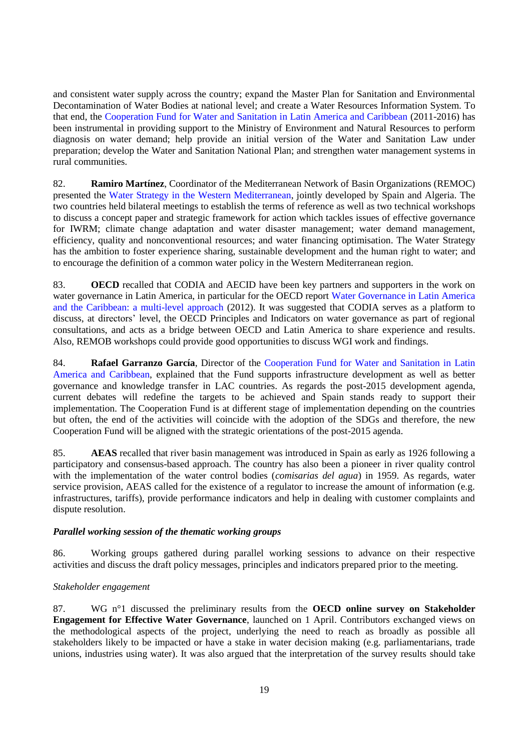and consistent water supply across the country; expand the Master Plan for Sanitation and Environmental Decontamination of Water Bodies at national level; and create a Water Resources Information System. To that end, the [Cooperation Fund for Water and Sanitation in Latin America and Caribbean](http://www.fondodelagua.aecid.es/es/fcas/) (2011-2016) has been instrumental in providing support to the Ministry of Environment and Natural Resources to perform diagnosis on water demand; help provide an initial version of the Water and Sanitation Law under preparation; develop the Water and Sanitation National Plan; and strengthen water management systems in rural communities.

82. **Ramiro Martínez**, Coordinator of the Mediterranean Network of Basin Organizations (REMOC) presented the [Water Strategy in the Western Mediterranean,](http://article.wn.com/view/2013/09/26/Joint_Statement_Water_Strategy_in_the_Western_Mediterranean_/) jointly developed by Spain and Algeria. The two countries held bilateral meetings to establish the terms of reference as well as two technical workshops to discuss a concept paper and strategic framework for action which tackles issues of effective governance for IWRM; climate change adaptation and water disaster management; water demand management, efficiency, quality and nonconventional resources; and water financing optimisation. The Water Strategy has the ambition to foster experience sharing, sustainable development and the human right to water; and to encourage the definition of a common water policy in the Western Mediterranean region.

83. **OECD** recalled that CODIA and AECID have been key partners and supporters in the work on water governance in Latin America, in particular for the OECD report [Water Governance in Latin America](http://www.oecd.org/gov/regional-policy/watergovernanceinlatinamericaandthecaribbeanamulti-levelapproach.htm)  [and the Caribbean: a multi-level approach](http://www.oecd.org/gov/regional-policy/watergovernanceinlatinamericaandthecaribbeanamulti-levelapproach.htm) (2012). It was suggested that CODIA serves as a platform to discuss, at directors' level, the OECD Principles and Indicators on water governance as part of regional consultations, and acts as a bridge between OECD and Latin America to share experience and results. Also, REMOB workshops could provide good opportunities to discuss WGI work and findings.

84. **Rafael Garranzo García**, Director of the [Cooperation Fund for Water and Sanitation in Latin](http://www.fondodelagua.aecid.es/es/fcas/)  [America and Caribbean,](http://www.fondodelagua.aecid.es/es/fcas/) explained that the Fund supports infrastructure development as well as better governance and knowledge transfer in LAC countries. As regards the post-2015 development agenda, current debates will redefine the targets to be achieved and Spain stands ready to support their implementation. The Cooperation Fund is at different stage of implementation depending on the countries but often, the end of the activities will coincide with the adoption of the SDGs and therefore, the new Cooperation Fund will be aligned with the strategic orientations of the post-2015 agenda.

85. **AEAS** recalled that river basin management was introduced in Spain as early as 1926 following a participatory and consensus-based approach. The country has also been a pioneer in river quality control with the implementation of the water control bodies (*comisarias del agua*) in 1959. As regards, water service provision, AEAS called for the existence of a regulator to increase the amount of information (e.g. infrastructures, tariffs), provide performance indicators and help in dealing with customer complaints and dispute resolution.

## <span id="page-18-0"></span>*Parallel working session of the thematic working groups*

86. Working groups gathered during parallel working sessions to advance on their respective activities and discuss the draft policy messages, principles and indicators prepared prior to the meeting.

#### <span id="page-18-1"></span>*Stakeholder engagement*

87. WG n°1 discussed the preliminary results from the **OECD online survey on Stakeholder Engagement for Effective Water Governance**, launched on 1 April. Contributors exchanged views on the methodological aspects of the project, underlying the need to reach as broadly as possible all stakeholders likely to be impacted or have a stake in water decision making (e.g. parliamentarians, trade unions, industries using water). It was also argued that the interpretation of the survey results should take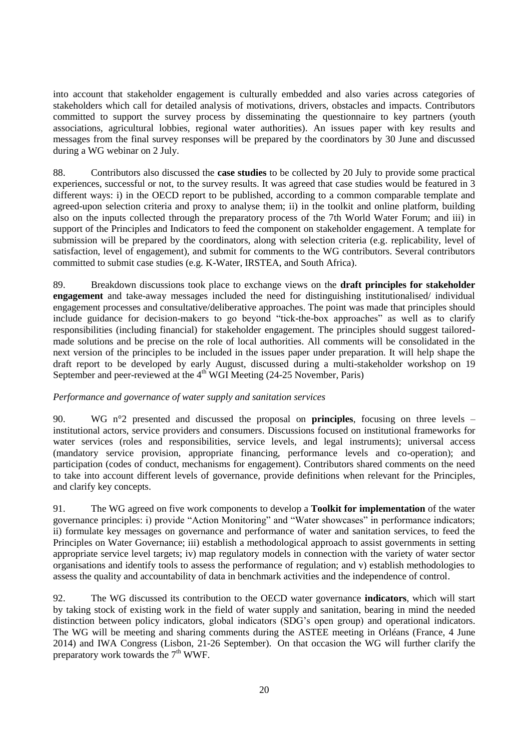into account that stakeholder engagement is culturally embedded and also varies across categories of stakeholders which call for detailed analysis of motivations, drivers, obstacles and impacts. Contributors committed to support the survey process by disseminating the questionnaire to key partners (youth associations, agricultural lobbies, regional water authorities). An issues paper with key results and messages from the final survey responses will be prepared by the coordinators by 30 June and discussed during a WG webinar on 2 July.

88. Contributors also discussed the **case studies** to be collected by 20 July to provide some practical experiences, successful or not, to the survey results. It was agreed that case studies would be featured in 3 different ways: i) in the OECD report to be published, according to a common comparable template and agreed-upon selection criteria and proxy to analyse them; ii) in the toolkit and online platform, building also on the inputs collected through the preparatory process of the 7th World Water Forum; and iii) in support of the Principles and Indicators to feed the component on stakeholder engagement. A template for submission will be prepared by the coordinators, along with selection criteria (e.g. replicability, level of satisfaction, level of engagement), and submit for comments to the WG contributors. Several contributors committed to submit case studies (e.g. K-Water, IRSTEA, and South Africa).

89. Breakdown discussions took place to exchange views on the **draft principles for stakeholder engagement** and take-away messages included the need for distinguishing institutionalised/ individual engagement processes and consultative/deliberative approaches. The point was made that principles should include guidance for decision-makers to go beyond "tick-the-box approaches" as well as to clarify responsibilities (including financial) for stakeholder engagement. The principles should suggest tailoredmade solutions and be precise on the role of local authorities. All comments will be consolidated in the next version of the principles to be included in the issues paper under preparation. It will help shape the draft report to be developed by early August, discussed during a multi-stakeholder workshop on 19 September and peer-reviewed at the 4<sup>th</sup> WGI Meeting (24-25 November, Paris)

## <span id="page-19-0"></span>*Performance and governance of water supply and sanitation services*

90. WG n°2 presented and discussed the proposal on **principles**, focusing on three levels – institutional actors, service providers and consumers. Discussions focused on institutional frameworks for water services (roles and responsibilities, service levels, and legal instruments); universal access (mandatory service provision, appropriate financing, performance levels and co-operation); and participation (codes of conduct, mechanisms for engagement). Contributors shared comments on the need to take into account different levels of governance, provide definitions when relevant for the Principles, and clarify key concepts.

91. The WG agreed on five work components to develop a **Toolkit for implementation** of the water governance principles: i) provide "Action Monitoring" and "Water showcases" in performance indicators; ii) formulate key messages on governance and performance of water and sanitation services, to feed the Principles on Water Governance; iii) establish a methodological approach to assist governments in setting appropriate service level targets; iv) map regulatory models in connection with the variety of water sector organisations and identify tools to assess the performance of regulation; and v) establish methodologies to assess the quality and accountability of data in benchmark activities and the independence of control.

92. The WG discussed its contribution to the OECD water governance **indicators**, which will start by taking stock of existing work in the field of water supply and sanitation, bearing in mind the needed distinction between policy indicators, global indicators (SDG's open group) and operational indicators. The WG will be meeting and sharing comments during the ASTEE meeting in Orléans (France, 4 June 2014) and IWA Congress (Lisbon, 21-26 September). On that occasion the WG will further clarify the preparatory work towards the  $7<sup>th</sup> WWF$ .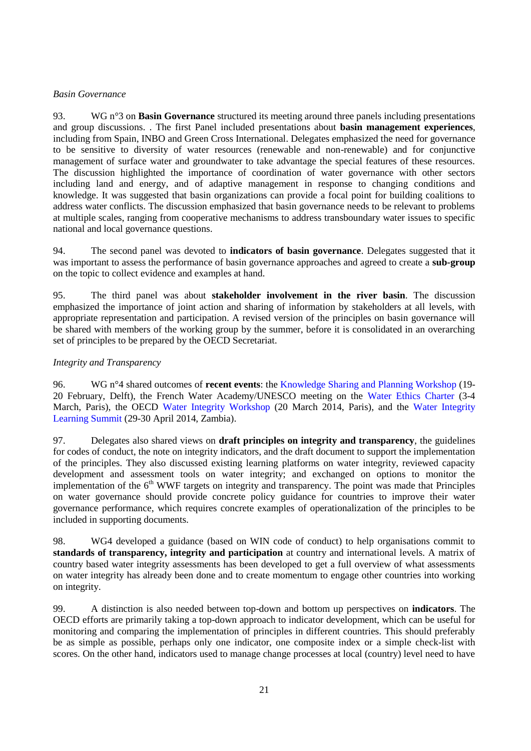## <span id="page-20-0"></span>*Basin Governance*

93. WG n°3 on **Basin Governance** structured its meeting around three panels including presentations and group discussions. . The first Panel included presentations about **basin management experiences**, including from Spain, INBO and Green Cross International. Delegates emphasized the need for governance to be sensitive to diversity of water resources (renewable and non-renewable) and for conjunctive management of surface water and groundwater to take advantage the special features of these resources. The discussion highlighted the importance of coordination of water governance with other sectors including land and energy, and of adaptive management in response to changing conditions and knowledge. It was suggested that basin organizations can provide a focal point for building coalitions to address water conflicts. The discussion emphasized that basin governance needs to be relevant to problems at multiple scales, ranging from cooperative mechanisms to address transboundary water issues to specific national and local governance questions.

94. The second panel was devoted to **indicators of basin governance**. Delegates suggested that it was important to assess the performance of basin governance approaches and agreed to create a **sub-group** on the topic to collect evidence and examples at hand.

95. The third panel was about **stakeholder involvement in the river basin**. The discussion emphasized the importance of joint action and sharing of information by stakeholders at all levels, with appropriate representation and participation. A revised version of the principles on basin governance will be shared with members of the working group by the summer, before it is consolidated in an overarching set of principles to be prepared by the OECD Secretariat.

## <span id="page-20-1"></span>*Integrity and Transparency*

96. WG n°4 shared outcomes of **recent events**: the Knowledge Sharing [and Planning Workshop](http://www.unesco-ihe.org/knowledge-sharing-and-planning-workshop-water-integrity) (19- 20 February, Delft), the French Water Academy/UNESCO meeting on the [Water Ethics Charter](http://www.waterculture.org/uploads/V0_CR_r_union_Charte_Ethique_10_04_13.docx) (3-4 March, Paris), the OECD [Water Integrity Workshop](http://www.oecd.org/cleangovbiz/2014WaterIntegrityWorkshopAgenda.pdf) (20 March 2014, Paris), and the [Water Integrity](http://www.watergovernance.org/integrity/summit)  [Learning Summit](http://www.watergovernance.org/integrity/summit) (29-30 April 2014, Zambia).

97. Delegates also shared views on **draft principles on integrity and transparency**, the guidelines for codes of conduct, the note on integrity indicators, and the draft document to support the implementation of the principles. They also discussed existing learning platforms on water integrity, reviewed capacity development and assessment tools on water integrity; and exchanged on options to monitor the implementation of the  $6<sup>th</sup>$  WWF targets on integrity and transparency. The point was made that Principles on water governance should provide concrete policy guidance for countries to improve their water governance performance, which requires concrete examples of operationalization of the principles to be included in supporting documents.

98. WG4 developed a guidance (based on WIN code of conduct) to help organisations commit to **standards of transparency, integrity and participation** at country and international levels. A matrix of country based water integrity assessments has been developed to get a full overview of what assessments on water integrity has already been done and to create momentum to engage other countries into working on integrity.

99. A distinction is also needed between top-down and bottom up perspectives on **indicators**. The OECD efforts are primarily taking a top-down approach to indicator development, which can be useful for monitoring and comparing the implementation of principles in different countries. This should preferably be as simple as possible, perhaps only one indicator, one composite index or a simple check-list with scores. On the other hand, indicators used to manage change processes at local (country) level need to have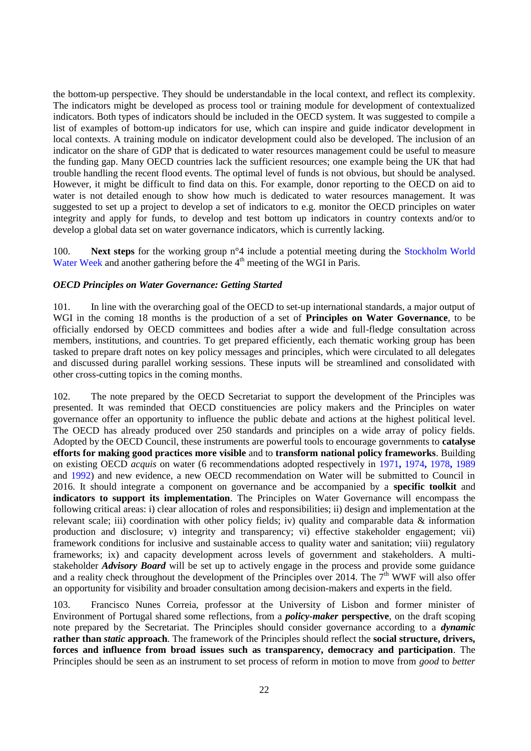the bottom-up perspective. They should be understandable in the local context, and reflect its complexity. The indicators might be developed as process tool or training module for development of contextualized indicators. Both types of indicators should be included in the OECD system. It was suggested to compile a list of examples of bottom-up indicators for use, which can inspire and guide indicator development in local contexts. A training module on indicator development could also be developed. The inclusion of an indicator on the share of GDP that is dedicated to water resources management could be useful to measure the funding gap. Many OECD countries lack the sufficient resources; one example being the UK that had trouble handling the recent flood events. The optimal level of funds is not obvious, but should be analysed. However, it might be difficult to find data on this. For example, donor reporting to the OECD on aid to water is not detailed enough to show how much is dedicated to water resources management. It was suggested to set up a project to develop a set of indicators to e.g. monitor the OECD principles on water integrity and apply for funds, to develop and test bottom up indicators in country contexts and/or to develop a global data set on water governance indicators, which is currently lacking.

100. **Next steps** for the working group n°4 include a potential meeting during the [Stockholm World](http://www.worldwaterweek.org/)  [Water Week](http://www.worldwaterweek.org/) and another gathering before the  $4<sup>th</sup>$  meeting of the WGI in Paris.

#### <span id="page-21-0"></span>*OECD Principles on Water Governance: Getting Started*

101. In line with the overarching goal of the OECD to set-up international standards, a major output of WGI in the coming 18 months is the production of a set of **Principles on Water Governance**, to be officially endorsed by OECD committees and bodies after a wide and full-fledge consultation across members, institutions, and countries. To get prepared efficiently, each thematic working group has been tasked to prepare draft notes on key policy messages and principles, which were circulated to all delegates and discussed during parallel working sessions. These inputs will be streamlined and consolidated with other cross-cutting topics in the coming months.

102. The note prepared by the OECD Secretariat to support the development of the Principles was presented. It was reminded that OECD constituencies are policy makers and the Principles on water governance offer an opportunity to influence the public debate and actions at the highest political level. The OECD has already produced over 250 standards and principles on a wide array of policy fields. Adopted by the OECD Council, these instruments are powerful tools to encourage governments to **catalyse efforts for making good practices more visible** and to **transform national policy frameworks**. Building on existing OECD *acquis* on water (6 recommendations adopted respectively in [1971](http://acts.oecd.org/Instruments/ShowInstrumentView.aspx?InstrumentID=2&InstrumentPID=1&Lang=en&Book=False))**,** [1974](http://acts.oecd.org/Instruments/ShowInstrumentView.aspx?InstrumentID=10&Lang=en&Book=False))**,** [1978](http://acts.oecd.org/Instruments/ShowInstrumentView.aspx?InstrumentID=20&Lang=en&Book=False)**,** [1989](http://acts.oecd.org/Instruments/ShowInstrumentView.aspx?InstrumentID=36&Lang=en&Book=False) and [1992\)](http://acts.oecd.org/Instruments/ShowInstrumentView.aspx?InstrumentID=42&InstrumentPID=39&Lang=en&Book=) and new evidence, a new OECD recommendation on Water will be submitted to Council in 2016. It should integrate a component on governance and be accompanied by a **specific toolkit** and **indicators to support its implementation**. The Principles on Water Governance will encompass the following critical areas: i) clear allocation of roles and responsibilities; ii) design and implementation at the relevant scale; iii) coordination with other policy fields; iv) quality and comparable data & information production and disclosure; v) integrity and transparency; vi) effective stakeholder engagement; vii) framework conditions for inclusive and sustainable access to quality water and sanitation; viii) regulatory frameworks; ix) and capacity development across levels of government and stakeholders. A multistakeholder *Advisory Board* will be set up to actively engage in the process and provide some guidance and a reality check throughout the development of the Principles over 2014. The  $7<sup>th</sup>$  WWF will also offer an opportunity for visibility and broader consultation among decision-makers and experts in the field.

103. Francisco Nunes Correia, professor at the University of Lisbon and former minister of Environment of Portugal shared some reflections, from a *policy-maker* **perspective**, on the draft scoping note prepared by the Secretariat. The Principles should consider governance according to a *dynamic* **rather than** *static* **approach**. The framework of the Principles should reflect the **social structure, drivers, forces and influence from broad issues such as transparency, democracy and participation**. The Principles should be seen as an instrument to set process of reform in motion to move from *good* to *better*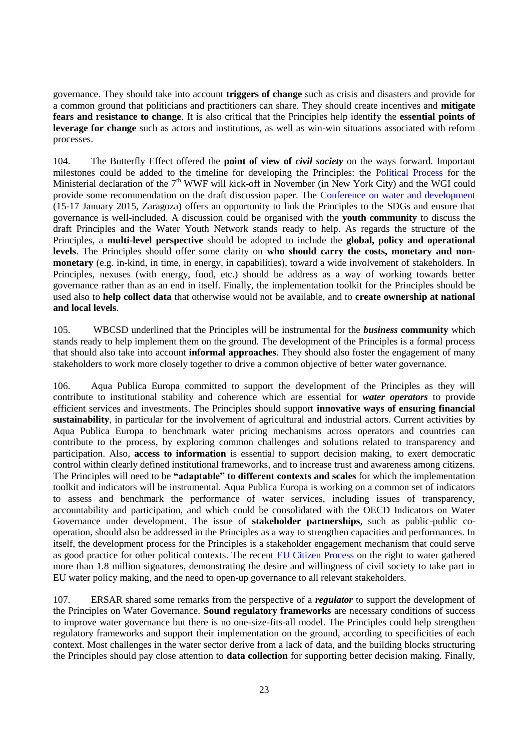governance. They should take into account **triggers of change** such as crisis and disasters and provide for a common ground that politicians and practitioners can share. They should create incentives and **mitigate fears and resistance to change**. It is also critical that the Principles help identify the **essential points of leverage for change** such as actors and institutions, as well as win-win situations associated with reform processes.

104. The Butterfly Effect offered the **point of view of** *civil society* on the ways forward. Important milestones could be added to the timeline for developing the Principles: the [Political Process](http://eng.worldwaterforum7.org/en/commissions/politics) for the Ministerial declaration of the  $7<sup>th</sup>$  WWF will kick-off in November (in New York City) and the WGI could provide some recommendation on the draft discussion paper. The [Conference on water and development](http://www.un.org/waterforlifedecade/pdf/2015_un_water_zaragoza_conference_leaflet_low_res.pdf) (15-17 January 2015, Zaragoza) offers an opportunity to link the Principles to the SDGs and ensure that governance is well-included. A discussion could be organised with the **youth community** to discuss the draft Principles and the Water Youth Network stands ready to help. As regards the structure of the Principles, a **multi-level perspective** should be adopted to include the **global, policy and operational levels**. The Principles should offer some clarity on **who should carry the costs, monetary and nonmonetary** (e.g. in-kind, in time, in energy, in capabilities), toward a wide involvement of stakeholders. In Principles, nexuses (with energy, food, etc.) should be address as a way of working towards better governance rather than as an end in itself. Finally, the implementation toolkit for the Principles should be used also to **help collect data** that otherwise would not be available, and to **create ownership at national and local levels**.

105. WBCSD underlined that the Principles will be instrumental for the *business* **community** which stands ready to help implement them on the ground. The development of the Principles is a formal process that should also take into account **informal approaches**. They should also foster the engagement of many stakeholders to work more closely together to drive a common objective of better water governance.

106. Aqua Publica Europa committed to support the development of the Principles as they will contribute to institutional stability and coherence which are essential for *water operators* to provide efficient services and investments. The Principles should support **innovative ways of ensuring financial sustainability**, in particular for the involvement of agricultural and industrial actors. Current activities by Aqua Publica Europa to benchmark water pricing mechanisms across operators and countries can contribute to the process, by exploring common challenges and solutions related to transparency and participation. Also, **access to information** is essential to support decision making, to exert democratic control within clearly defined institutional frameworks, and to increase trust and awareness among citizens. The Principles will need to be **"adaptable" to different contexts and scales** for which the implementation toolkit and indicators will be instrumental. Aqua Publica Europa is working on a common set of indicators to assess and benchmark the performance of water services, including issues of transparency, accountability and participation, and which could be consolidated with the OECD Indicators on Water Governance under development. The issue of **stakeholder partnerships**, such as public-public cooperation, should also be addressed in the Principles as a way to strengthen capacities and performances. In itself, the development process for the Principles is a stakeholder engagement mechanism that could serve as good practice for other political contexts. The recent [EU Citizen Process](http://ec.europa.eu/transparency/com_r2w_en.pdf) on the right to water gathered more than 1.8 million signatures, demonstrating the desire and willingness of civil society to take part in EU water policy making, and the need to open-up governance to all relevant stakeholders.

107. ERSAR shared some remarks from the perspective of a *regulator* to support the development of the Principles on Water Governance. **Sound regulatory frameworks** are necessary conditions of success to improve water governance but there is no one-size-fits-all model. The Principles could help strengthen regulatory frameworks and support their implementation on the ground, according to specificities of each context. Most challenges in the water sector derive from a lack of data, and the building blocks structuring the Principles should pay close attention to **data collection** for supporting better decision making. Finally,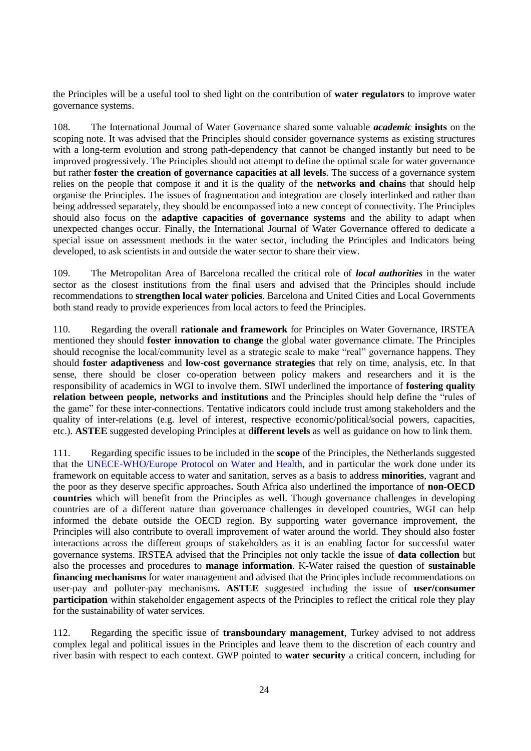the Principles will be a useful tool to shed light on the contribution of **water regulators** to improve water governance systems.

108. The International Journal of Water Governance shared some valuable *academic* **insights** on the scoping note. It was advised that the Principles should consider governance systems as existing structures with a long-term evolution and strong path-dependency that cannot be changed instantly but need to be improved progressively. The Principles should not attempt to define the optimal scale for water governance but rather **foster the creation of governance capacities at all levels**. The success of a governance system relies on the people that compose it and it is the quality of the **networks and chains** that should help organise the Principles. The issues of fragmentation and integration are closely interlinked and rather than being addressed separately, they should be encompassed into a new concept of connectivity. The Principles should also focus on the **adaptive capacities of governance systems** and the ability to adapt when unexpected changes occur. Finally, the International Journal of Water Governance offered to dedicate a special issue on assessment methods in the water sector, including the Principles and Indicators being developed, to ask scientists in and outside the water sector to share their view.

109. The Metropolitan Area of Barcelona recalled the critical role of *local authorities* in the water sector as the closest institutions from the final users and advised that the Principles should include recommendations to **strengthen local water policies**. Barcelona and United Cities and Local Governments both stand ready to provide experiences from local actors to feed the Principles.

110. Regarding the overall **rationale and framework** for Principles on Water Governance, IRSTEA mentioned they should **foster innovation to change** the global water governance climate. The Principles should recognise the local/community level as a strategic scale to make "real" governance happens. They should **foster adaptiveness** and **low-cost governance strategies** that rely on time, analysis, etc. In that sense, there should be closer co-operation between policy makers and researchers and it is the responsibility of academics in WGI to involve them. SIWI underlined the importance of **fostering quality relation between people, networks and institutions** and the Principles should help define the "rules of the game" for these inter-connections. Tentative indicators could include trust among stakeholders and the quality of inter-relations (e.g. level of interest, respective economic/political/social powers, capacities, etc.). **ASTEE** suggested developing Principles at **different levels** as well as guidance on how to link them.

111. Regarding specific issues to be included in the **scope** of the Principles, the Netherlands suggested that the [UNECE-WHO/Europe Protocol on Water and Health,](http://www.unece.org/?id=2975) and in particular the work done under its framework on equitable access to water and sanitation, serves as a basis to address **minorities**, vagrant and the poor as they deserve specific approaches**.** South Africa also underlined the importance of **non-OECD countries** which will benefit from the Principles as well. Though governance challenges in developing countries are of a different nature than governance challenges in developed countries, WGI can help informed the debate outside the OECD region. By supporting water governance improvement, the Principles will also contribute to overall improvement of water around the world. They should also foster interactions across the different groups of stakeholders as it is an enabling factor for successful water governance systems. IRSTEA advised that the Principles not only tackle the issue of **data collection** but also the processes and procedures to **manage information**. K-Water raised the question of **sustainable financing mechanisms** for water management and advised that the Principles include recommendations on user-pay and polluter-pay mechanisms**. ASTEE** suggested including the issue of **user/consumer participation** within stakeholder engagement aspects of the Principles to reflect the critical role they play for the sustainability of water services.

112. Regarding the specific issue of **transboundary management**, Turkey advised to not address complex legal and political issues in the Principles and leave them to the discretion of each country and river basin with respect to each context. GWP pointed to **water security** a critical concern, including for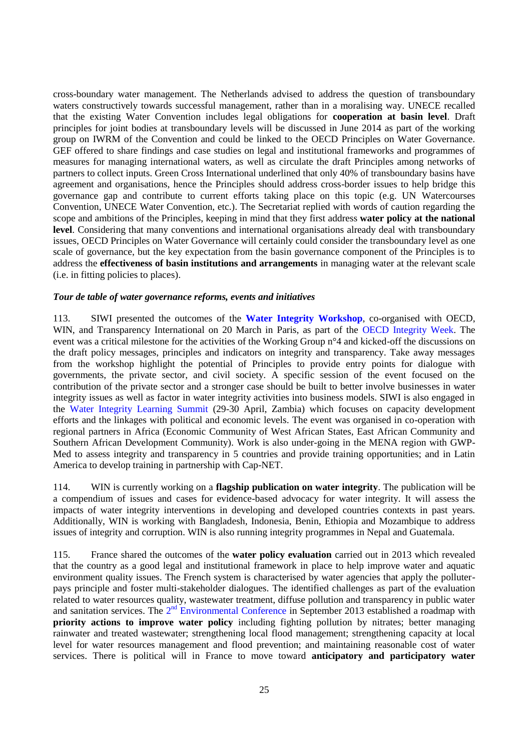cross-boundary water management. The Netherlands advised to address the question of transboundary waters constructively towards successful management, rather than in a moralising way. UNECE recalled that the existing Water Convention includes legal obligations for **cooperation at basin level**. Draft principles for joint bodies at transboundary levels will be discussed in June 2014 as part of the working group on IWRM of the Convention and could be linked to the OECD Principles on Water Governance. GEF offered to share findings and case studies on legal and institutional frameworks and programmes of measures for managing international waters, as well as circulate the draft Principles among networks of partners to collect inputs. Green Cross International underlined that only 40% of transboundary basins have agreement and organisations, hence the Principles should address cross-border issues to help bridge this governance gap and contribute to current efforts taking place on this topic (e.g. UN Watercourses Convention, UNECE Water Convention, etc.). The Secretariat replied with words of caution regarding the scope and ambitions of the Principles, keeping in mind that they first address **water policy at the national level**. Considering that many conventions and international organisations already deal with transboundary issues, OECD Principles on Water Governance will certainly could consider the transboundary level as one scale of governance, but the key expectation from the basin governance component of the Principles is to address the **effectiveness of basin institutions and arrangements** in managing water at the relevant scale (i.e. in fitting policies to places).

#### <span id="page-24-0"></span>*Tour de table of water governance reforms, events and initiatives*

113. SIWI presented the outcomes of the **[Water Integrity Workshop](http://www.oecd.org/cleangovbiz/2014WaterIntegrityWorkshopAgenda.pdf)**, co-organised with OECD, WIN, and Transparency International on 20 March in Paris, as part of the [OECD Integrity Week.](http://www.oecd.org/cleangovbiz/oecd-integrity-week-2014.htm) The event was a critical milestone for the activities of the Working Group n°4 and kicked-off the discussions on the draft policy messages, principles and indicators on integrity and transparency. Take away messages from the workshop highlight the potential of Principles to provide entry points for dialogue with governments, the private sector, and civil society. A specific session of the event focused on the contribution of the private sector and a stronger case should be built to better involve businesses in water integrity issues as well as factor in water integrity activities into business models. SIWI is also engaged in the [Water Integrity Learning Summit](http://www.watergovernance.org/integrity/summit) (29-30 April, Zambia) which focuses on capacity development efforts and the linkages with political and economic levels. The event was organised in co-operation with regional partners in Africa (Economic Community of West African States, East African Community and Southern African Development Community). Work is also under-going in the MENA region with GWP-Med to assess integrity and transparency in 5 countries and provide training opportunities; and in Latin America to develop training in partnership with Cap-NET.

114. WIN is currently working on a **flagship publication on water integrity**. The publication will be a compendium of issues and cases for evidence-based advocacy for water integrity. It will assess the impacts of water integrity interventions in developing and developed countries contexts in past years. Additionally, WIN is working with Bangladesh, Indonesia, Benin, Ethiopia and Mozambique to address issues of integrity and corruption. WIN is also running integrity programmes in Nepal and Guatemala.

115. France shared the outcomes of the **water policy evaluation** carried out in 2013 which revealed that the country as a good legal and institutional framework in place to help improve water and aquatic environment quality issues. The French system is characterised by water agencies that apply the polluterpays principle and foster multi-stakeholder dialogues. The identified challenges as part of the evaluation related to water resources quality, wastewater treatment, diffuse pollution and transparency in public water and sanitation services. The  $2<sup>nd</sup>$  [Environmental Conference](http://www.developpement-durable.gouv.fr/Conference-environnementale-2013,34144.html) in September 2013 established a roadmap with **priority actions to improve water policy** including fighting pollution by nitrates; better managing rainwater and treated wastewater; strengthening local flood management; strengthening capacity at local level for water resources management and flood prevention; and maintaining reasonable cost of water services. There is political will in France to move toward **anticipatory and participatory water**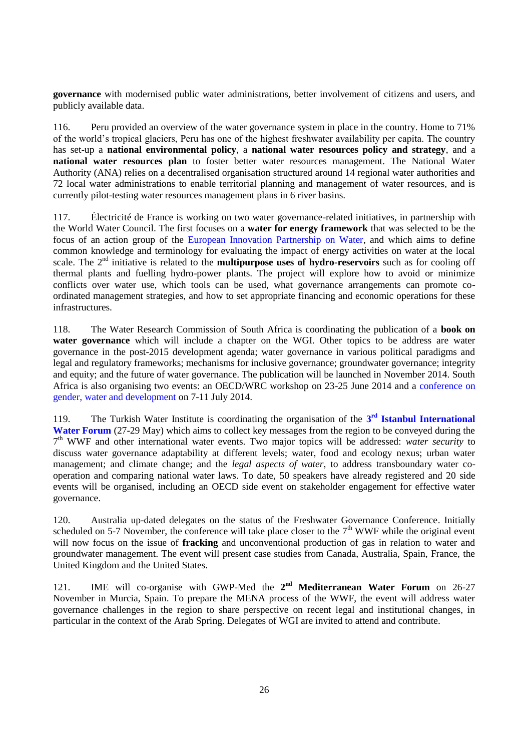**governance** with modernised public water administrations, better involvement of citizens and users, and publicly available data.

116. Peru provided an overview of the water governance system in place in the country. Home to 71% of the world's tropical glaciers, Peru has one of the highest freshwater availability per capita. The country has set-up a **national environmental policy**, a **national water resources policy and strategy**, and a **national water resources plan** to foster better water resources management. The National Water Authority (ANA) relies on a decentralised organisation structured around 14 regional water authorities and 72 local water administrations to enable territorial planning and management of water resources, and is currently pilot-testing water resources management plans in 6 river basins.

117. Électricité de France is working on two water governance-related initiatives, in partnership with the World Water Council. The first focuses on a **water for energy framework** that was selected to be the focus of an action group of the [European Innovation Partnership on Water,](http://ec.europa.eu/environment/water/innovationpartnership/) and which aims to define common knowledge and terminology for evaluating the impact of energy activities on water at the local scale. The 2nd initiative is related to the **multipurpose uses of hydro-reservoirs** such as for cooling off thermal plants and fuelling hydro-power plants. The project will explore how to avoid or minimize conflicts over water use, which tools can be used, what governance arrangements can promote coordinated management strategies, and how to set appropriate financing and economic operations for these infrastructures.

118. The Water Research Commission of South Africa is coordinating the publication of a **book on water governance** which will include a chapter on the WGI. Other topics to be address are water governance in the post-2015 development agenda; water governance in various political paradigms and legal and regulatory frameworks; mechanisms for inclusive governance; groundwater governance; integrity and equity; and the future of water governance. The publication will be launched in November 2014. South Africa is also organising two events: an OECD/WRC workshop on 23-25 June 2014 and a [conference on](http://global-water-conference1.com/)  [gender, water and development](http://global-water-conference1.com/) on 7-11 July 2014.

119. The Turkish Water Institute is coordinating the organisation of the 3<sup>rd</sup> Istanbul International **[Water Forum](http://suen.gov.tr/en/news/the-3rdistanbul-international-water-forum/18)** (27-29 May) which aims to collect key messages from the region to be conveyed during the 7<sup>th</sup> WWF and other international water events. Two major topics will be addressed: *water security* to discuss water governance adaptability at different levels; water, food and ecology nexus; urban water management; and climate change; and the *legal aspects of water*, to address transboundary water cooperation and comparing national water laws. To date, 50 speakers have already registered and 20 side events will be organised, including an OECD side event on stakeholder engagement for effective water governance.

120. Australia up-dated delegates on the status of the Freshwater Governance Conference. Initially scheduled on 5-7 November, the conference will take place closer to the  $7<sup>th</sup>$  WWF while the original event will now focus on the issue of **fracking** and unconventional production of gas in relation to water and groundwater management. The event will present case studies from Canada, Australia, Spain, France, the United Kingdom and the United States.

121. IME will co-organise with GWP-Med the 2<sup>nd</sup> Mediterranean Water Forum on 26-27 November in Murcia, Spain. To prepare the MENA process of the WWF, the event will address water governance challenges in the region to share perspective on recent legal and institutional changes, in particular in the context of the Arab Spring. Delegates of WGI are invited to attend and contribute.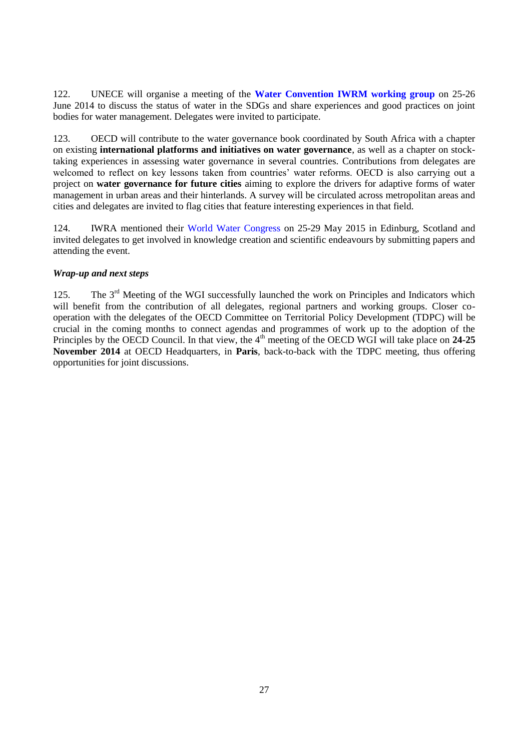122. UNECE will organise a meeting of the **[Water Convention IWRM working group](http://www.unece.org/env/water/meetings/documents_wgiwrm.html)** on 25-26 June 2014 to discuss the status of water in the SDGs and share experiences and good practices on joint bodies for water management. Delegates were invited to participate.

123. OECD will contribute to the water governance book coordinated by South Africa with a chapter on existing **international platforms and initiatives on water governance**, as well as a chapter on stocktaking experiences in assessing water governance in several countries. Contributions from delegates are welcomed to reflect on key lessons taken from countries' water reforms. OECD is also carrying out a project on **water governance for future cities** aiming to explore the drivers for adaptive forms of water management in urban areas and their hinterlands. A survey will be circulated across metropolitan areas and cities and delegates are invited to flag cities that feature interesting experiences in that field.

124. IWRA mentioned their [World Water Congress](http://iwra.org/index.php?page=204) on 25-29 May 2015 in Edinburg, Scotland and invited delegates to get involved in knowledge creation and scientific endeavours by submitting papers and attending the event.

### <span id="page-26-0"></span>*Wrap-up and next steps*

125. The  $3<sup>rd</sup>$  Meeting of the WGI successfully launched the work on Principles and Indicators which will benefit from the contribution of all delegates, regional partners and working groups. Closer cooperation with the delegates of the OECD Committee on Territorial Policy Development (TDPC) will be crucial in the coming months to connect agendas and programmes of work up to the adoption of the Principles by the OECD Council. In that view, the 4<sup>th</sup> meeting of the OECD WGI will take place on 24-25 **November 2014** at OECD Headquarters, in **Paris**, back-to-back with the TDPC meeting, thus offering opportunities for joint discussions.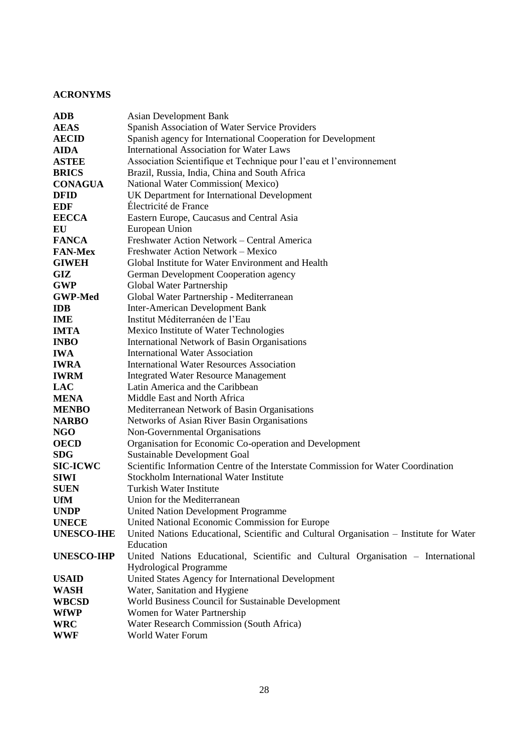# <span id="page-27-0"></span>**ACRONYMS**

| <b>ADB</b>        | <b>Asian Development Bank</b>                                                          |
|-------------------|----------------------------------------------------------------------------------------|
| <b>AEAS</b>       | Spanish Association of Water Service Providers                                         |
| <b>AECID</b>      | Spanish agency for International Cooperation for Development                           |
| <b>AIDA</b>       | <b>International Association for Water Laws</b>                                        |
| <b>ASTEE</b>      | Association Scientifique et Technique pour l'eau et l'environnement                    |
| <b>BRICS</b>      | Brazil, Russia, India, China and South Africa                                          |
| <b>CONAGUA</b>    | National Water Commission(Mexico)                                                      |
| <b>DFID</b>       | UK Department for International Development                                            |
| <b>EDF</b>        | Électricité de France                                                                  |
| <b>EECCA</b>      | Eastern Europe, Caucasus and Central Asia                                              |
| EU                | European Union                                                                         |
| <b>FANCA</b>      | Freshwater Action Network – Central America                                            |
| <b>FAN-Mex</b>    | Freshwater Action Network - Mexico                                                     |
| <b>GIWEH</b>      | Global Institute for Water Environment and Health                                      |
| GIZ               | German Development Cooperation agency                                                  |
| <b>GWP</b>        | Global Water Partnership                                                               |
| <b>GWP-Med</b>    | Global Water Partnership - Mediterranean                                               |
| <b>IDB</b>        | Inter-American Development Bank                                                        |
| <b>IME</b>        | Institut Méditerranéen de l'Eau                                                        |
| <b>IMTA</b>       | Mexico Institute of Water Technologies                                                 |
| <b>INBO</b>       | International Network of Basin Organisations                                           |
| <b>IWA</b>        | <b>International Water Association</b>                                                 |
| <b>IWRA</b>       | <b>International Water Resources Association</b>                                       |
| <b>IWRM</b>       | <b>Integrated Water Resource Management</b>                                            |
| <b>LAC</b>        | Latin America and the Caribbean                                                        |
| <b>MENA</b>       | Middle East and North Africa                                                           |
| <b>MENBO</b>      | Mediterranean Network of Basin Organisations                                           |
| <b>NARBO</b>      | Networks of Asian River Basin Organisations                                            |
| <b>NGO</b>        | Non-Governmental Organisations                                                         |
| <b>OECD</b>       | Organisation for Economic Co-operation and Development                                 |
| <b>SDG</b>        | Sustainable Development Goal                                                           |
| <b>SIC-ICWC</b>   | Scientific Information Centre of the Interstate Commission for Water Coordination      |
| <b>SIWI</b>       | Stockholm International Water Institute                                                |
| <b>SUEN</b>       | <b>Turkish Water Institute</b>                                                         |
| <b>UfM</b>        | Union for the Mediterranean                                                            |
| <b>UNDP</b>       | <b>United Nation Development Programme</b>                                             |
| <b>UNECE</b>      | United National Economic Commission for Europe                                         |
| <b>UNESCO-IHE</b> | United Nations Educational, Scientific and Cultural Organisation - Institute for Water |
|                   | Education                                                                              |
| <b>UNESCO-IHP</b> | United Nations Educational, Scientific and Cultural Organisation - International       |
|                   | <b>Hydrological Programme</b>                                                          |
| <b>USAID</b>      | United States Agency for International Development                                     |
| <b>WASH</b>       | Water, Sanitation and Hygiene                                                          |
| <b>WBCSD</b>      | World Business Council for Sustainable Development                                     |
| <b>WfWP</b>       | Women for Water Partnership                                                            |
| <b>WRC</b>        | Water Research Commission (South Africa)                                               |
| WWF               | World Water Forum                                                                      |
|                   |                                                                                        |